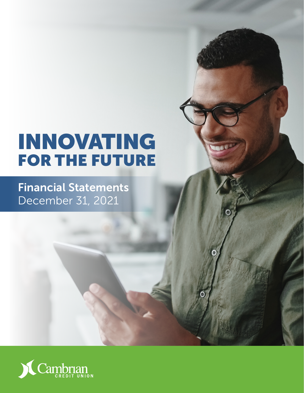# INNOVATING FOR THE FUTURE

Financial Statements December 31, 2021

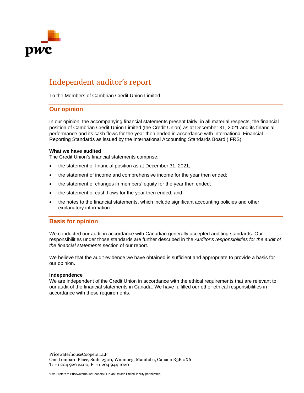

# Independent auditor's report

To the Members of Cambrian Credit Union Limited

### **Our opinion**

In our opinion, the accompanying financial statements present fairly, in all material respects, the financial position of Cambrian Credit Union Limited (the Credit Union) as at December 31, 2021 and its financial performance and its cash flows for the year then ended in accordance with International Financial Reporting Standards as issued by the International Accounting Standards Board (IFRS).

#### **What we have audited**

The Credit Union's financial statements comprise:

- the statement of financial position as at December 31, 2021;
- the statement of income and comprehensive income for the year then ended;
- the statement of changes in members' equity for the year then ended;
- the statement of cash flows for the year then ended; and
- the notes to the financial statements, which include significant accounting policies and other explanatory information.

### **Basis for opinion**

We conducted our audit in accordance with Canadian generally accepted auditing standards. Our responsibilities under those standards are further described in the *Auditor's responsibilities for the audit of the financial statements* section of our report.

We believe that the audit evidence we have obtained is sufficient and appropriate to provide a basis for our opinion.

#### **Independence**

We are independent of the Credit Union in accordance with the ethical requirements that are relevant to our audit of the financial statements in Canada. We have fulfilled our other ethical responsibilities in accordance with these requirements.

PricewaterhouseCoopers LLP One Lombard Place, Suite 2300, Winnipeg, Manitoba, Canada R3B 0X6 T: +1 204 926 2400, F: +1 204 944 1020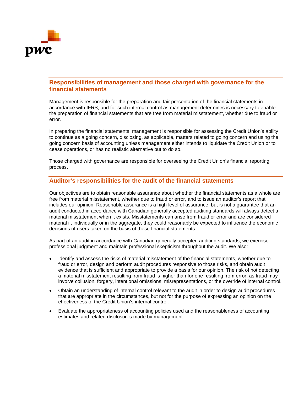

### **Responsibilities of management and those charged with governance for the financial statements**

Management is responsible for the preparation and fair presentation of the financial statements in accordance with IFRS, and for such internal control as management determines is necessary to enable the preparation of financial statements that are free from material misstatement, whether due to fraud or error.

In preparing the financial statements, management is responsible for assessing the Credit Union's ability to continue as a going concern, disclosing, as applicable, matters related to going concern and using the going concern basis of accounting unless management either intends to liquidate the Credit Union or to cease operations, or has no realistic alternative but to do so.

Those charged with governance are responsible for overseeing the Credit Union's financial reporting process.

### **Auditor's responsibilities for the audit of the financial statements**

Our objectives are to obtain reasonable assurance about whether the financial statements as a whole are free from material misstatement, whether due to fraud or error, and to issue an auditor's report that includes our opinion. Reasonable assurance is a high level of assurance, but is not a guarantee that an audit conducted in accordance with Canadian generally accepted auditing standards will always detect a material misstatement when it exists. Misstatements can arise from fraud or error and are considered material if, individually or in the aggregate, they could reasonably be expected to influence the economic decisions of users taken on the basis of these financial statements.

As part of an audit in accordance with Canadian generally accepted auditing standards, we exercise professional judgment and maintain professional skepticism throughout the audit. We also:

- Identify and assess the risks of material misstatement of the financial statements, whether due to fraud or error, design and perform audit procedures responsive to those risks, and obtain audit evidence that is sufficient and appropriate to provide a basis for our opinion. The risk of not detecting a material misstatement resulting from fraud is higher than for one resulting from error, as fraud may involve collusion, forgery, intentional omissions, misrepresentations, or the override of internal control.
- Obtain an understanding of internal control relevant to the audit in order to design audit procedures that are appropriate in the circumstances, but not for the purpose of expressing an opinion on the effectiveness of the Credit Union's internal control.
- Evaluate the appropriateness of accounting policies used and the reasonableness of accounting estimates and related disclosures made by management.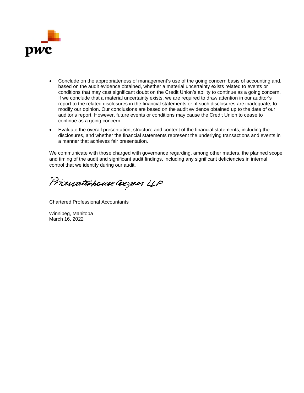

- Conclude on the appropriateness of management's use of the going concern basis of accounting and, based on the audit evidence obtained, whether a material uncertainty exists related to events or conditions that may cast significant doubt on the Credit Union's ability to continue as a going concern. If we conclude that a material uncertainty exists, we are required to draw attention in our auditor's report to the related disclosures in the financial statements or, if such disclosures are inadequate, to modify our opinion. Our conclusions are based on the audit evidence obtained up to the date of our auditor's report. However, future events or conditions may cause the Credit Union to cease to continue as a going concern.
- Evaluate the overall presentation, structure and content of the financial statements, including the disclosures, and whether the financial statements represent the underlying transactions and events in a manner that achieves fair presentation.

We communicate with those charged with governance regarding, among other matters, the planned scope and timing of the audit and significant audit findings, including any significant deficiencies in internal control that we identify during our audit.

PricewaterhouseCoopers LLP

Chartered Professional Accountants

Winnipeg, Manitoba March 16, 2022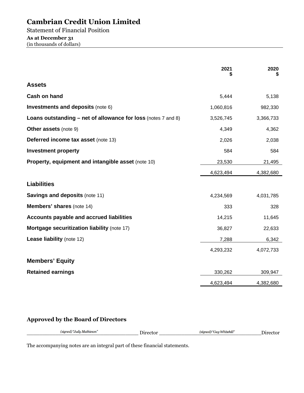Statement of Financial Position **As at December 31**  (in thousands of dollars)

|                                                               | 2021      | 2020      |
|---------------------------------------------------------------|-----------|-----------|
| <b>Assets</b>                                                 |           |           |
| Cash on hand                                                  | 5,444     | 5,138     |
| <b>Investments and deposits (note 6)</b>                      | 1,060,816 | 982,330   |
| Loans outstanding – net of allowance for loss (notes 7 and 8) | 3,526,745 | 3,366,733 |
| <b>Other assets (note 9)</b>                                  | 4,349     | 4,362     |
| <b>Deferred income tax asset (note 13)</b>                    | 2,026     | 2,038     |
| <b>Investment property</b>                                    | 584       | 584       |
| Property, equipment and intangible asset (note 10)            | 23,530    | 21,495    |
|                                                               | 4,623,494 | 4,382,680 |
| <b>Liabilities</b>                                            |           |           |
| <b>Savings and deposits (note 11)</b>                         | 4,234,569 | 4,031,785 |
| <b>Members' shares (note 14)</b>                              | 333       | 328       |
| <b>Accounts payable and accrued liabilities</b>               | 14,215    | 11,645    |
| Mortgage securitization liability (note 17)                   | 36,827    | 22,633    |
| Lease liability (note 12)                                     | 7,288     | 6,342     |
|                                                               | 4,293,232 | 4,072,733 |
| <b>Members' Equity</b>                                        |           |           |
| <b>Retained earnings</b>                                      | 330,262   | 309,947   |
|                                                               | 4,623,494 | 4,382,680 |
|                                                               |           |           |

### **Approved by the Board of Directors**

| "Judu Mathieson"<br><i>signed</i><br>.<br>- 2 | 'Guy Whitehill"<br><i>(signed)</i> | $\overline{\phantom{a}}$ |
|-----------------------------------------------|------------------------------------|--------------------------|
|                                               |                                    |                          |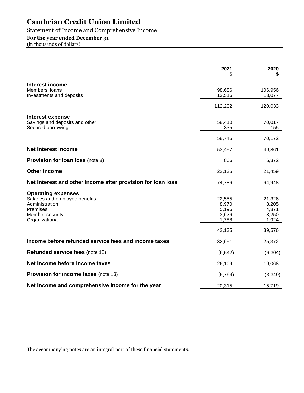### Statement of Income and Comprehensive Income

### **For the year ended December 31**

(in thousands of dollars)

|                                                             | 2021             | 2020              |
|-------------------------------------------------------------|------------------|-------------------|
| Interest income                                             |                  |                   |
| Members' loans<br>Investments and deposits                  | 98,686<br>13,516 | 106,956<br>13,077 |
|                                                             |                  |                   |
|                                                             | 112,202          | 120,033           |
| <b>Interest expense</b>                                     |                  |                   |
| Savings and deposits and other                              | 58,410           | 70,017            |
| Secured borrowing                                           | 335              | 155               |
|                                                             | 58,745           | 70,172            |
| Net interest income                                         | 53,457           | 49,861            |
| <b>Provision for loan loss (note 8)</b>                     | 806              | 6,372             |
| <b>Other income</b>                                         | 22,135           | 21,459            |
| Net interest and other income after provision for loan loss | 74,786           | 64,948            |
| <b>Operating expenses</b>                                   |                  |                   |
| Salaries and employee benefits                              | 22,555           | 21,326            |
| Administration                                              | 8,970            | 8,205             |
| Premises<br>Member security                                 | 5,196<br>3,626   | 4,871<br>3,250    |
| Organizational                                              | 1,788            | 1,924             |
|                                                             | 42,135           | 39,576            |
| Income before refunded service fees and income taxes        | 32,651           | 25,372            |
| <b>Refunded service fees (note 15)</b>                      | (6, 542)         | (6, 304)          |
| Net income before income taxes                              | 26,109           | 19,068            |
| <b>Provision for income taxes (note 13)</b>                 | (5,794)          | (3, 349)          |
| Net income and comprehensive income for the year            | 20,315           | 15,719            |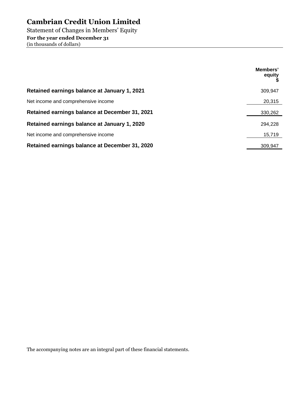Statement of Changes in Members' Equity **For the year ended December 31**  (in thousands of dollars)

|                                                | Members'<br>equity |
|------------------------------------------------|--------------------|
| Retained earnings balance at January 1, 2021   | 309.947            |
| Net income and comprehensive income            | 20,315             |
| Retained earnings balance at December 31, 2021 | 330,262            |
| Retained earnings balance at January 1, 2020   | 294,228            |
| Net income and comprehensive income            | 15,719             |
| Retained earnings balance at December 31, 2020 | 309.947            |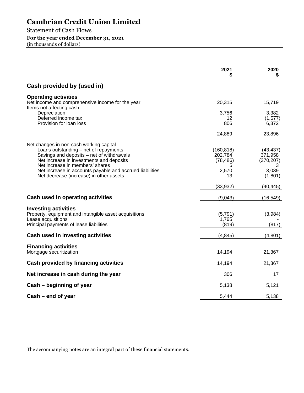Statement of Cash Flows **For the year ended December 31, 2021** 

(in thousands of dollars)

|                                                                                                                                                                                                                                                                                                                     | 2021                                                   | 2020                                                        |
|---------------------------------------------------------------------------------------------------------------------------------------------------------------------------------------------------------------------------------------------------------------------------------------------------------------------|--------------------------------------------------------|-------------------------------------------------------------|
| Cash provided by (used in)                                                                                                                                                                                                                                                                                          |                                                        |                                                             |
| <b>Operating activities</b><br>Net income and comprehensive income for the year<br>Items not affecting cash                                                                                                                                                                                                         | 20,315                                                 | 15,719                                                      |
| Depreciation<br>Deferred income tax<br>Provision for loan loss                                                                                                                                                                                                                                                      | 3,756<br>12<br>806                                     | 3,382<br>(1, 577)<br>6,372                                  |
|                                                                                                                                                                                                                                                                                                                     | 24,889                                                 | 23,896                                                      |
| Net changes in non-cash working capital<br>Loans outstanding - net of repayments<br>Savings and deposits - net of withdrawals<br>Net increase in investments and deposits<br>Net increase in members' shares<br>Net increase in accounts payable and accrued liabilities<br>Net decrease (increase) in other assets | (160, 818)<br>202,784<br>(78, 486)<br>5<br>2,570<br>13 | (43, 437)<br>371,958<br>(370, 207)<br>3<br>3,039<br>(1,801) |
|                                                                                                                                                                                                                                                                                                                     | (33, 932)                                              | (40, 445)                                                   |
| Cash used in operating activities                                                                                                                                                                                                                                                                                   | (9,043)                                                | (16, 549)                                                   |
| <b>Investing activities</b><br>Property, equipment and intangible asset acquisitions<br>Lease acquisitions<br>Principal payments of lease liabilities                                                                                                                                                               | (5,791)<br>1,765<br>(819)                              | (3,984)<br>(817)                                            |
| Cash used in investing activities                                                                                                                                                                                                                                                                                   | (4, 845)                                               | (4,801)                                                     |
| <b>Financing activities</b><br>Mortgage securitization                                                                                                                                                                                                                                                              | 14,194                                                 | 21,367                                                      |
| Cash provided by financing activities                                                                                                                                                                                                                                                                               | 14,194                                                 | 21,367                                                      |
| Net increase in cash during the year                                                                                                                                                                                                                                                                                | 306                                                    | 17                                                          |
| Cash – beginning of year                                                                                                                                                                                                                                                                                            | 5,138                                                  | 5,121                                                       |
| Cash – end of year                                                                                                                                                                                                                                                                                                  | 5,444                                                  | 5,138                                                       |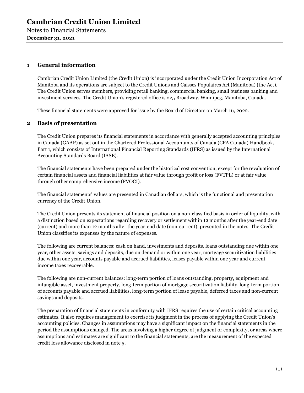Notes to Financial Statements **December 31, 2021** 

### **1 General information**

Cambrian Credit Union Limited (the Credit Union) is incorporated under the Credit Union Incorporation Act of Manitoba and its operations are subject to the Credit Unions and Caisses Populaires Act (Manitoba) (the Act). The Credit Union serves members, providing retail banking, commercial banking, small business banking and investment services. The Credit Union's registered office is 225 Broadway, Winnipeg, Manitoba, Canada.

These financial statements were approved for issue by the Board of Directors on March 16, 2022.

### **2 Basis of presentation**

The Credit Union prepares its financial statements in accordance with generally accepted accounting principles in Canada (GAAP) as set out in the Chartered Professional Accountants of Canada (CPA Canada) Handbook, Part 1, which consists of International Financial Reporting Standards (IFRS) as issued by the International Accounting Standards Board (IASB).

The financial statements have been prepared under the historical cost convention, except for the revaluation of certain financial assets and financial liabilities at fair value through profit or loss (FVTPL) or at fair value through other comprehensive income (FVOCI).

The financial statements' values are presented in Canadian dollars, which is the functional and presentation currency of the Credit Union.

The Credit Union presents its statement of financial position on a non-classified basis in order of liquidity, with a distinction based on expectations regarding recovery or settlement within 12 months after the year-end date (current) and more than 12 months after the year-end date (non-current), presented in the notes. The Credit Union classifies its expenses by the nature of expenses.

The following are current balances: cash on hand, investments and deposits, loans outstanding due within one year, other assets, savings and deposits, due on demand or within one year, mortgage securitization liabilities due within one year, accounts payable and accrued liabilities, leases payable within one year and current income taxes recoverable.

The following are non-current balances: long-term portion of loans outstanding, property, equipment and intangible asset, investment property, long-term portion of mortgage securitization liability, long-term portion of accounts payable and accrued liabilities, long-term portion of lease payable, deferred taxes and non-current savings and deposits.

The preparation of financial statements in conformity with IFRS requires the use of certain critical accounting estimates. It also requires management to exercise its judgment in the process of applying the Credit Union's accounting policies. Changes in assumptions may have a significant impact on the financial statements in the period the assumptions changed. The areas involving a higher degree of judgment or complexity, or areas where assumptions and estimates are significant to the financial statements, are the measurement of the expected credit loss allowance disclosed in note 5.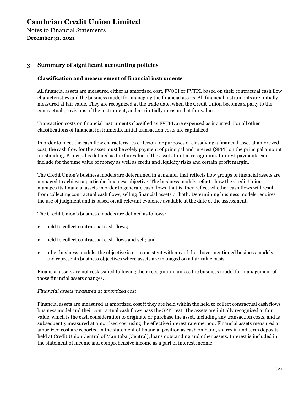### **3 Summary of significant accounting policies**

### **Classification and measurement of financial instruments**

All financial assets are measured either at amortized cost, FVOCI or FVTPL based on their contractual cash flow characteristics and the business model for managing the financial assets. All financial instruments are initially measured at fair value. They are recognized at the trade date, when the Credit Union becomes a party to the contractual provisions of the instrument, and are initially measured at fair value.

Transaction costs on financial instruments classified as FVTPL are expensed as incurred. For all other classifications of financial instruments, initial transaction costs are capitalized.

In order to meet the cash flow characteristics criterion for purposes of classifying a financial asset at amortized cost, the cash flow for the asset must be solely payment of principal and interest (SPPI) on the principal amount outstanding. Principal is defined as the fair value of the asset at initial recognition. Interest payments can include for the time value of money as well as credit and liquidity risks and certain profit margin.

The Credit Union's business models are determined in a manner that reflects how groups of financial assets are managed to achieve a particular business objective. The business models refer to how the Credit Union manages its financial assets in order to generate cash flows, that is, they reflect whether cash flows will result from collecting contractual cash flows, selling financial assets or both. Determining business models requires the use of judgment and is based on all relevant evidence available at the date of the assessment.

The Credit Union's business models are defined as follows:

- held to collect contractual cash flows;
- held to collect contractual cash flows and sell; and
- other business models: the objective is not consistent with any of the above-mentioned business models and represents business objectives where assets are managed on a fair value basis.

Financial assets are not reclassified following their recognition, unless the business model for management of those financial assets changes.

### *Financial assets measured at amortized cost*

Financial assets are measured at amortized cost if they are held within the held to collect contractual cash flows business model and their contractual cash flows pass the SPPI test. The assets are initially recognized at fair value, which is the cash consideration to originate or purchase the asset, including any transaction costs, and is subsequently measured at amortized cost using the effective interest rate method. Financial assets measured at amortized cost are reported in the statement of financial position as cash on hand, shares in and term deposits held at Credit Union Central of Manitoba (Central), loans outstanding and other assets. Interest is included in the statement of income and comprehensive income as a part of interest income.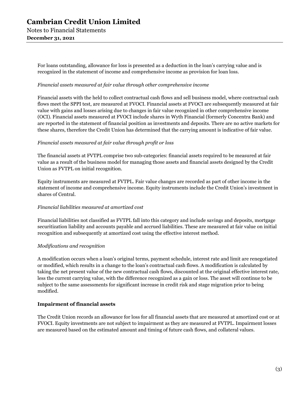> For loans outstanding, allowance for loss is presented as a deduction in the loan's carrying value and is recognized in the statement of income and comprehensive income as provision for loan loss.

### *Financial assets measured at fair value through other comprehensive income*

Financial assets with the held to collect contractual cash flows and sell business model, where contractual cash flows meet the SPPI test, are measured at FVOCI. Financial assets at FVOCI are subsequently measured at fair value with gains and losses arising due to changes in fair value recognized in other comprehensive income (OCI). Financial assets measured at FVOCI include shares in Wyth Financial (formerly Concentra Bank) and are reported in the statement of financial position as investments and deposits. There are no active markets for these shares, therefore the Credit Union has determined that the carrying amount is indicative of fair value.

### *Financial assets measured at fair value through profit or loss*

The financial assets at FVTPL comprise two sub-categories: financial assets required to be measured at fair value as a result of the business model for managing those assets and financial assets designed by the Credit Union as FVTPL on initial recognition.

Equity instruments are measured at FVTPL. Fair value changes are recorded as part of other income in the statement of income and comprehensive income. Equity instruments include the Credit Union's investment in shares of Central.

### *Financial liabilities measured at amortized cost*

Financial liabilities not classified as FVTPL fall into this category and include savings and deposits, mortgage securitization liability and accounts payable and accrued liabilities. These are measured at fair value on initial recognition and subsequently at amortized cost using the effective interest method.

### *Modifications and recognition*

A modification occurs when a loan's original terms, payment schedule, interest rate and limit are renegotiated or modified, which results in a change to the loan's contractual cash flows. A modification is calculated by taking the net present value of the new contractual cash flows, discounted at the original effective interest rate, less the current carrying value, with the difference recognized as a gain or loss. The asset will continue to be subject to the same assessments for significant increase in credit risk and stage migration prior to being modified.

### **Impairment of financial assets**

The Credit Union records an allowance for loss for all financial assets that are measured at amortized cost or at FVOCI. Equity investments are not subject to impairment as they are measured at FVTPL. Impairment losses are measured based on the estimated amount and timing of future cash flows, and collateral values.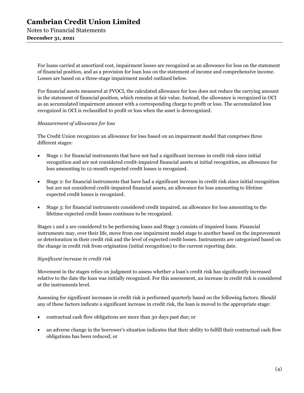Notes to Financial Statements **December 31, 2021** 

> For loans carried at amortized cost, impairment losses are recognized as an allowance for loss on the statement of financial position, and as a provision for loan loss on the statement of income and comprehensive income. Losses are based on a three-stage impairment model outlined below.

> For financial assets measured at FVOCI, the calculated allowance for loss does not reduce the carrying amount in the statement of financial position, which remains at fair value. Instead, the allowance is recognized in OCI as an accumulated impairment amount with a corresponding charge to profit or loss. The accumulated loss recognized in OCI is reclassified to profit or loss when the asset is derecognized.

### *Measurement of allowance for loss*

The Credit Union recognizes an allowance for loss based on an impairment model that comprises three different stages:

- Stage 1: for financial instruments that have not had a significant increase in credit risk since initial recognition and are not considered credit-impaired financial assets at initial recognition, an allowance for loss amounting to 12-month expected credit losses is recognized.
- Stage 2: for financial instruments that have had a significant increase in credit risk since initial recognition but are not considered credit-impaired financial assets, an allowance for loss amounting to lifetime expected credit losses is recognized.
- Stage 3: for financial instruments considered credit impaired, an allowance for loss amounting to the lifetime expected credit losses continues to be recognized.

Stages 1 and 2 are considered to be performing loans and Stage 3 consists of impaired loans. Financial instruments may, over their life, move from one impairment model stage to another based on the improvement or deterioration in their credit risk and the level of expected credit losses. Instruments are categorized based on the change in credit risk from origination (initial recognition) to the current reporting date.

### *Significant increase in credit risk*

Movement in the stages relies on judgment to assess whether a loan's credit risk has significantly increased relative to the date the loan was initially recognized. For this assessment, an increase in credit risk is considered at the instruments level.

Assessing for significant increases in credit risk is performed quarterly based on the following factors. Should any of these factors indicate a significant increase in credit risk, the loan is moved to the appropriate stage:

- contractual cash flow obligations are more than 30 days past due; or
- an adverse change in the borrower's situation indicates that their ability to fulfill their contractual cash flow obligations has been reduced; or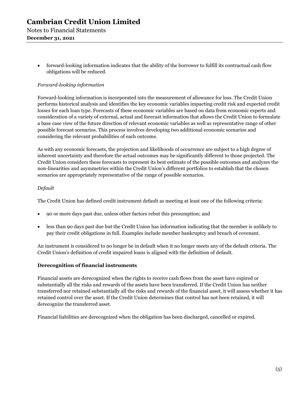forward-looking information indicates that the ability of the borrower to fulfill its contractual cash flow obligations will be reduced.

### *Forward-looking information*

Forward-looking information is incorporated into the measurement of allowance for loss. The Credit Union performs historical analysis and identifies the key economic variables impacting credit risk and expected credit losses for each loan type. Forecasts of these economic variables are based on data from economic experts and consideration of a variety of external, actual and forecast information that allows the Credit Union to formulate a base case view of the future direction of relevant economic variables as well as representative range of other possible forecast scenarios. This process involves developing two additional economic scenarios and considering the relevant probabilities of each outcome.

As with any economic forecasts, the projection and likelihoods of occurrence are subject to a high degree of inherent uncertainty and therefore the actual outcomes may be significantly different to those projected. The Credit Union considers these forecasts to represent its best estimate of the possible outcomes and analyzes the non-linearities and asymmetries within the Credit Union's different portfolios to establish that the chosen scenarios are appropriately representative of the range of possible scenarios.

### *Default*

The Credit Union has defined credit instrument default as meeting at least one of the following criteria:

- 90 or more days past due, unless other factors rebut this presumption; and
- less than 90 days past due but the Credit Union has information indicating that the member is unlikely to pay their credit obligations in full. Examples include member bankruptcy and breach of covenant.

An instrument is considered to no longer be in default when it no longer meets any of the default criteria. The Credit Union's definition of credit impaired loans is aligned with the definition of default.

### **Derecognition of financial instruments**

Financial assets are derecognized when the rights to receive cash flows from the asset have expired or substantially all the risks and rewards of the assets have been transferred. If the Credit Union has neither transferred nor retained substantially all the risks and rewards of the financial asset, it will assess whether it has retained control over the asset. If the Credit Union determines that control has not been retained, it will derecognize the transferred asset.

Financial liabilities are derecognized when the obligation has been discharged, cancelled or expired.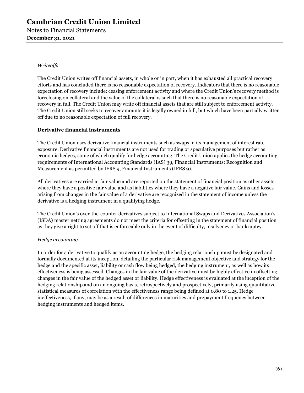Notes to Financial Statements **December 31, 2021** 

### *Writeoffs*

The Credit Union writes off financial assets, in whole or in part, when it has exhausted all practical recovery efforts and has concluded there is no reasonable expectation of recovery. Indicators that there is no reasonable expectation of recovery include: ceasing enforcement activity and where the Credit Union's recovery method is foreclosing on collateral and the value of the collateral is such that there is no reasonable expectation of recovery in full. The Credit Union may write off financial assets that are still subject to enforcement activity. The Credit Union still seeks to recover amounts it is legally owned in full, but which have been partially written off due to no reasonable expectation of full recovery.

### **Derivative financial instruments**

The Credit Union uses derivative financial instruments such as swaps in its management of interest rate exposure. Derivative financial instruments are not used for trading or speculative purposes but rather as economic hedges, some of which qualify for hedge accounting. The Credit Union applies the hedge accounting requirements of International Accounting Standards (IAS) 39, Financial Instruments: Recognition and Measurement as permitted by IFRS 9, Financial Instruments (IFRS 9).

All derivatives are carried at fair value and are reported on the statement of financial position as other assets where they have a positive fair value and as liabilities where they have a negative fair value. Gains and losses arising from changes in the fair value of a derivative are recognized in the statement of income unless the derivative is a hedging instrument in a qualifying hedge.

The Credit Union's over-the-counter derivatives subject to International Swaps and Derivatives Association's (ISDA) master netting agreements do not meet the criteria for offsetting in the statement of financial position as they give a right to set off that is enforceable only in the event of difficulty, insolvency or bankruptcy.

### *Hedge accounting*

In order for a derivative to qualify as an accounting hedge, the hedging relationship must be designated and formally documented at its inception, detailing the particular risk management objective and strategy for the hedge and the specific asset, liability or cash flow being hedged, the hedging instrument, as well as how its effectiveness is being assessed. Changes in the fair value of the derivative must be highly effective in offsetting changes in the fair value of the hedged asset or liability. Hedge effectiveness is evaluated at the inception of the hedging relationship and on an ongoing basis, retrospectively and prospectively, primarily using quantitative statistical measures of correlation with the effectiveness range being defined at 0.80 to 1.25. Hedge ineffectiveness, if any, may be as a result of differences in maturities and prepayment frequency between hedging instruments and hedged items.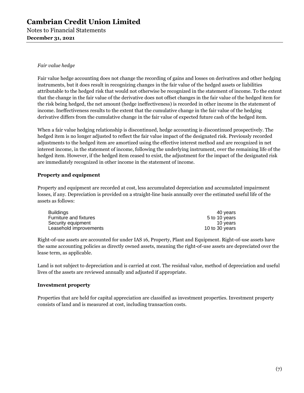Notes to Financial Statements **December 31, 2021** 

### *Fair value hedge*

Fair value hedge accounting does not change the recording of gains and losses on derivatives and other hedging instruments, but it does result in recognizing changes in the fair value of the hedged assets or liabilities attributable to the hedged risk that would not otherwise be recognized in the statement of income. To the extent that the change in the fair value of the derivative does not offset changes in the fair value of the hedged item for the risk being hedged, the net amount (hedge ineffectiveness) is recorded in other income in the statement of income. Ineffectiveness results to the extent that the cumulative change in the fair value of the hedging derivative differs from the cumulative change in the fair value of expected future cash of the hedged item.

When a fair value hedging relationship is discontinued, hedge accounting is discontinued prospectively. The hedged item is no longer adjusted to reflect the fair value impact of the designated risk. Previously recorded adjustments to the hedged item are amortized using the effective interest method and are recognized in net interest income, in the statement of income, following the underlying instrument, over the remaining life of the hedged item. However, if the hedged item ceased to exist, the adjustment for the impact of the designated risk are immediately recognized in other income in the statement of income.

### **Property and equipment**

Property and equipment are recorded at cost, less accumulated depreciation and accumulated impairment losses, if any. Depreciation is provided on a straight-line basis annually over the estimated useful life of the assets as follows:

| 40 years       |
|----------------|
| 5 to 10 years  |
| 10 years       |
| 10 to 30 years |
|                |

Right-of-use assets are accounted for under IAS 16, Property, Plant and Equipment. Right-of-use assets have the same accounting policies as directly owned assets, meaning the right-of-use assets are depreciated over the lease term, as applicable.

Land is not subject to depreciation and is carried at cost. The residual value, method of depreciation and useful lives of the assets are reviewed annually and adjusted if appropriate.

### **Investment property**

Properties that are held for capital appreciation are classified as investment properties. Investment property consists of land and is measured at cost, including transaction costs.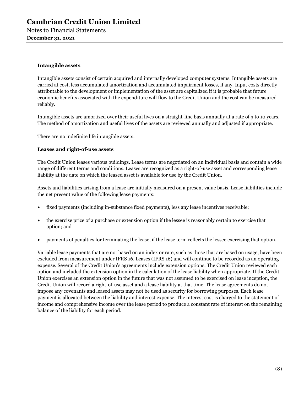### **Intangible assets**

Intangible assets consist of certain acquired and internally developed computer systems. Intangible assets are carried at cost, less accumulated amortization and accumulated impairment losses, if any. Input costs directly attributable to the development or implementation of the asset are capitalized if it is probable that future economic benefits associated with the expenditure will flow to the Credit Union and the cost can be measured reliably.

Intangible assets are amortized over their useful lives on a straight-line basis annually at a rate of 3 to 10 years. The method of amortization and useful lives of the assets are reviewed annually and adjusted if appropriate.

There are no indefinite life intangible assets.

### **Leases and right-of-use assets**

The Credit Union leases various buildings. Lease terms are negotiated on an individual basis and contain a wide range of different terms and conditions. Leases are recognized as a right-of-use asset and corresponding lease liability at the date on which the leased asset is available for use by the Credit Union.

Assets and liabilities arising from a lease are initially measured on a present value basis. Lease liabilities include the net present value of the following lease payments:

- fixed payments (including in-substance fixed payments), less any lease incentives receivable;
- the exercise price of a purchase or extension option if the lessee is reasonably certain to exercise that option; and
- payments of penalties for terminating the lease, if the lease term reflects the lessee exercising that option.

Variable lease payments that are not based on an index or rate, such as those that are based on usage, have been excluded from measurement under IFRS 16, Leases (IFRS 16) and will continue to be recorded as an operating expense. Several of the Credit Union's agreements include extension options. The Credit Union reviewed each option and included the extension option in the calculation of the lease liability when appropriate. If the Credit Union exercises an extension option in the future that was not assumed to be exercised on lease inception, the Credit Union will record a right-of-use asset and a lease liability at that time. The lease agreements do not impose any covenants and leased assets may not be used as security for borrowing purposes. Each lease payment is allocated between the liability and interest expense. The interest cost is charged to the statement of income and comprehensive income over the lease period to produce a constant rate of interest on the remaining balance of the liability for each period.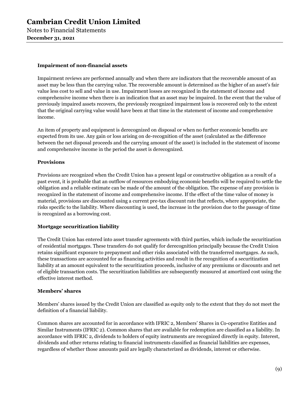Notes to Financial Statements **December 31, 2021** 

### **Impairment of non-financial assets**

Impairment reviews are performed annually and when there are indicators that the recoverable amount of an asset may be less than the carrying value. The recoverable amount is determined as the higher of an asset's fair value less cost to sell and value in use. Impairment losses are recognized in the statement of income and comprehensive income when there is an indication that an asset may be impaired. In the event that the value of previously impaired assets recovers, the previously recognized impairment loss is recovered only to the extent that the original carrying value would have been at that time in the statement of income and comprehensive income.

An item of property and equipment is derecognized on disposal or when no further economic benefits are expected from its use. Any gain or loss arising on de-recognition of the asset (calculated as the difference between the net disposal proceeds and the carrying amount of the asset) is included in the statement of income and comprehensive income in the period the asset is derecognized.

### **Provisions**

Provisions are recognized when the Credit Union has a present legal or constructive obligation as a result of a past event, it is probable that an outflow of resources embodying economic benefits will be required to settle the obligation and a reliable estimate can be made of the amount of the obligation. The expense of any provision is recognized in the statement of income and comprehensive income. If the effect of the time value of money is material, provisions are discounted using a current pre-tax discount rate that reflects, where appropriate, the risks specific to the liability. Where discounting is used, the increase in the provision due to the passage of time is recognized as a borrowing cost.

### **Mortgage securitization liability**

The Credit Union has entered into asset transfer agreements with third parties, which include the securitization of residential mortgages. These transfers do not qualify for derecognition principally because the Credit Union retains significant exposure to prepayment and other risks associated with the transferred mortgages. As such, these transactions are accounted for as financing activities and result in the recognition of a securitization liability at an amount equivalent to the securitization proceeds, inclusive of any premiums or discounts and net of eligible transaction costs. The securitization liabilities are subsequently measured at amortized cost using the effective interest method.

### **Members' shares**

Members' shares issued by the Credit Union are classified as equity only to the extent that they do not meet the definition of a financial liability.

Common shares are accounted for in accordance with IFRIC 2, Members' Shares in Co-operative Entities and Similar Instruments (IFRIC 2). Common shares that are available for redemption are classified as a liability. In accordance with IFRIC 2, dividends to holders of equity instruments are recognized directly in equity. Interest, dividends and other returns relating to financial instruments classified as financial liabilities are expenses, regardless of whether those amounts paid are legally characterized as dividends, interest or otherwise.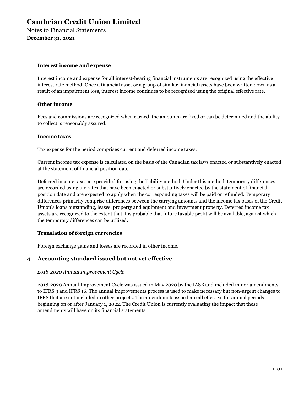#### **Interest income and expense**

Interest income and expense for all interest-bearing financial instruments are recognized using the effective interest rate method. Once a financial asset or a group of similar financial assets have been written down as a result of an impairment loss, interest income continues to be recognized using the original effective rate.

### **Other income**

Fees and commissions are recognized when earned, the amounts are fixed or can be determined and the ability to collect is reasonably assured.

#### **Income taxes**

Tax expense for the period comprises current and deferred income taxes.

Current income tax expense is calculated on the basis of the Canadian tax laws enacted or substantively enacted at the statement of financial position date.

Deferred income taxes are provided for using the liability method. Under this method, temporary differences are recorded using tax rates that have been enacted or substantively enacted by the statement of financial position date and are expected to apply when the corresponding taxes will be paid or refunded. Temporary differences primarily comprise differences between the carrying amounts and the income tax bases of the Credit Union's loans outstanding, leases, property and equipment and investment property. Deferred income tax assets are recognized to the extent that it is probable that future taxable profit will be available, against which the temporary differences can be utilized.

### **Translation of foreign currencies**

Foreign exchange gains and losses are recorded in other income.

### **4 Accounting standard issued but not yet effective**

### *2018-2020 Annual Improvement Cycle*

2018-2020 Annual Improvement Cycle was issued in May 2020 by the IASB and included minor amendments to IFRS 9 and IFRS 16. The annual improvements process is used to make necessary but non-urgent changes to IFRS that are not included in other projects. The amendments issued are all effective for annual periods beginning on or after January 1, 2022. The Credit Union is currently evaluating the impact that these amendments will have on its financial statements.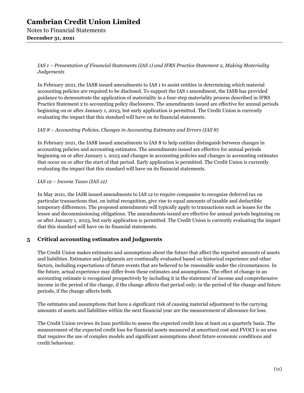### **Cambrian Credit Union Limited**  Notes to Financial Statements

### **December 31, 2021**

*IAS 1 – Presentation of Financial Statements (IAS 1) and IFRS Practice Statement 2, Making Materiality Judgements* 

In February 2021, the IASB issued amendments to IAS 1 to assist entities in determining which material accounting policies are required to be disclosed. To support the IAS 1 amendment, the IASB has provided guidance to demonstrate the application of materiality in a four-step materiality process described in IFRS Practice Statement 2 to accounting policy disclosures. The amendments issued are effective for annual periods beginning on or after January 1, 2023, but early application is permitted. The Credit Union is currently evaluating the impact that this standard will have on its financial statements.

### *IAS 8 – Accounting Policies, Changes in Accounting Estimates and Errors (IAS 8)*

In February 2021, the IASB issued amendments to IAS 8 to help entities distinguish between changes in accounting policies and accounting estimates. The amendments issued are effective for annual periods beginning on or after January 1, 2023 and changes in accounting policies and changes in accounting estimates that occur on or after the start of that period. Early application is permitted. The Credit Union is currently evaluating the impact that this standard will have on its financial statements.

### *IAS 12 – Income Taxes (IAS 12)*

In May 2021, the IASB issued amendments to IAS 12 to require companies to recognize deferred tax on particular transactions that, on initial recognition, give rise to equal amounts of taxable and deductible temporary differences. The proposed amendments will typically apply to transactions such as leases for the lessee and decommissioning obligations. The amendments issued are effective for annual periods beginning on or after January 1, 2023, but early application is permitted. The Credit Union is currently evaluating the impact that this standard will have on its financial statements.

### **5 Critical accounting estimates and judgments**

The Credit Union makes estimates and assumptions about the future that affect the reported amounts of assets and liabilities. Estimates and judgments are continually evaluated based on historical experience and other factors, including expectations of future events that are believed to be reasonable under the circumstances. In the future, actual experience may differ from these estimates and assumptions. The effect of change in an accounting estimate is recognized prospectively by including it in the statement of income and comprehensive income in the period of the change, if the change affects that period only; in the period of the change and future periods, if the change affects both.

The estimates and assumptions that have a significant risk of causing material adjustment to the carrying amounts of assets and liabilities within the next financial year are the measurement of allowance for loss.

The Credit Union reviews its loan portfolio to assess the expected credit loss at least on a quarterly basis. The measurement of the expected credit loss for financial assets measured at amortized cost and FVOCI is an area that requires the use of complex models and significant assumptions about future economic conditions and credit behaviour.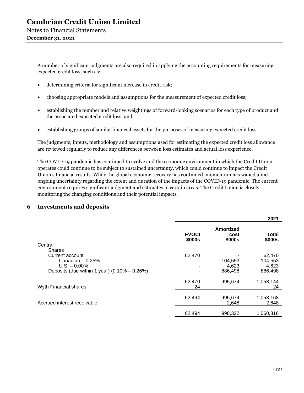A number of significant judgments are also required in applying the accounting requirements for measuring expected credit loss, such as:

- determining criteria for significant increase in credit risk;
- choosing appropriate models and assumptions for the measurement of expected credit loss;
- establishing the number and relative weightings of forward-looking scenarios for each type of product and the associated expected credit loss; and
- establishing groups of similar financial assets for the purposes of measuring expected credit loss.

The judgments, inputs, methodology and assumptions used for estimating the expected credit loss allowance are reviewed regularly to reduce any differences between loss estimates and actual loss experience.

The COVID-19 pandemic has continued to evolve and the economic environment in which the Credit Union operates could continue to be subject to sustained uncertainty, which could continue to impact the Credit Union's financial results. While the global economic recovery has continued, momentum has waned amid ongoing uncertainty regarding the extent and duration of the impacts of the COVID-19 pandemic. The current environment requires significant judgment and estimates in certain areas. The Credit Union is closely monitoring the changing conditions and their potential impacts.

### **6 Investments and deposits**

|                                                  |                        |                                    | 2021            |
|--------------------------------------------------|------------------------|------------------------------------|-----------------|
| Central                                          | <b>FVOCI</b><br>\$000s | <b>Amortized</b><br>cost<br>\$000s | Total<br>\$000s |
| <b>Shares</b>                                    |                        |                                    |                 |
| Current account                                  | 62,470                 |                                    | 62,470          |
| Canadian $-0.25%$                                |                        | 104,553                            | 104.553         |
| $U.S. - 0.00\%$                                  |                        | 4,623                              | 4,623           |
| Deposits (due within 1 year) $(0.10\% - 0.26\%)$ |                        | 886,498                            | 886.498         |
| Wyth Financial shares                            | 62,470<br>24           | 995,674                            | 1,058,144<br>24 |
|                                                  |                        |                                    |                 |
|                                                  | 62,494                 | 995,674                            | 1,058,168       |
| Accrued interest receivable                      |                        | 2,648                              | 2,648           |
|                                                  | 62,494                 | 998,322                            | 1.060.816       |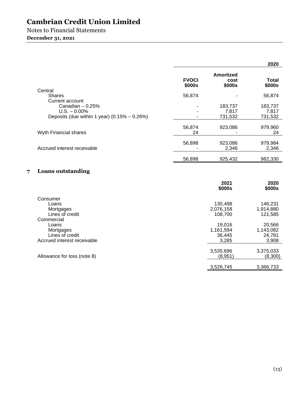# Notes to Financial Statements

### **December 31, 2021**

|                                                                                                             |                        |                                        | 2020                                   |
|-------------------------------------------------------------------------------------------------------------|------------------------|----------------------------------------|----------------------------------------|
|                                                                                                             | <b>FVOCI</b><br>\$000s | <b>Amortized</b><br>cost<br>\$000s     | <b>Total</b><br>\$000s                 |
| Central<br><b>Shares</b>                                                                                    | 56,874                 |                                        | 56,874                                 |
| Current account<br>Canadian $-0.25%$<br>$U.S. - 0.00\%$<br>Deposits (due within 1 year) $(0.15\% - 0.26\%)$ |                        | 183,737<br>7,817<br>731,532            | 183,737<br>7,817<br>731,532            |
| Wyth Financial shares                                                                                       | 56,874<br>24           | 923,086                                | 979,960<br>24                          |
| Accrued interest receivable                                                                                 | 56,898                 | 923,086<br>2,346                       | 979,984<br>2,346                       |
|                                                                                                             | 56,898                 | 925,432                                | 982,330                                |
| <b>Loans outstanding</b><br>7                                                                               |                        |                                        |                                        |
|                                                                                                             |                        | 2021<br>\$000s                         | 2020<br>\$000s                         |
| Consumer<br>Loans<br>Mortgages<br>Lines of credit<br>Commercial                                             |                        | 130,498<br>2,076,158<br>108,700        | 146,231<br>1,914,880<br>121,585        |
| Loans<br>Mortgages<br>Lines of credit<br>Accrued interest receivable                                        |                        | 19,016<br>1,161,594<br>36,445<br>3,285 | 20,566<br>1,143,082<br>24,781<br>3,908 |
| Allowance for loss (note 8)                                                                                 |                        | 3,535,696<br>(8,951)                   | 3,375,033<br>(8,300)                   |

| 3,526,745 | 3,366,733 |
|-----------|-----------|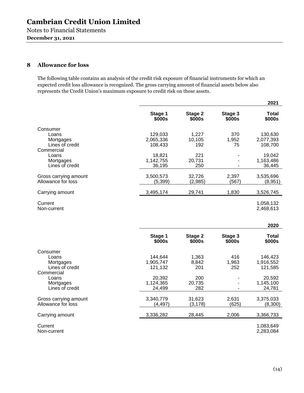### **8 Allowance for loss**

The following table contains an analysis of the credit risk exposure of financial instruments for which an expected credit loss allowance is recognized. The gross carrying amount of financial assets below also represents the Credit Union's maximum exposure to credit risk on these assets.

|                                             |                   |                   |                   | 2021                   |
|---------------------------------------------|-------------------|-------------------|-------------------|------------------------|
|                                             | Stage 1<br>\$000s | Stage 2<br>\$000s | Stage 3<br>\$000s | <b>Total</b><br>\$000s |
| Consumer                                    |                   |                   |                   |                        |
| Loans                                       | 129,033           | 1,227             | 370               | 130,630                |
| Mortgages                                   | 2,065,336         | 10,105            | 1,952             | 2,077,393              |
| Lines of credit                             | 108,433           | 192               | 75                | 108,700                |
| Commercial                                  |                   |                   |                   |                        |
| Loans                                       | 18,821            | 221               |                   | 19,042                 |
| Mortgages                                   | 1,142,755         | 20,731            |                   | 1,163,486              |
| Lines of credit                             | 36,195            | 250               |                   | 36,445                 |
|                                             | 3,500,573         |                   | 2,397             | 3,535,696              |
| Gross carrying amount<br>Allowance for loss | (5, 399)          | 32,726<br>(2,985) | (567)             | (8,951)                |
|                                             |                   |                   |                   |                        |
| Carrying amount                             | 3,495,174         | 29,741            | 1,830             | 3,526,745              |
|                                             |                   |                   |                   |                        |
| Current<br>Non-current                      |                   |                   |                   | 1,058,132<br>2,468,613 |
|                                             |                   |                   |                   |                        |
|                                             |                   |                   |                   |                        |
|                                             |                   |                   |                   | 2020                   |
|                                             | Stage 1           | Stage 2           | Stage 3           | <b>Total</b>           |
|                                             | \$000s            | \$000s            | \$000s            | \$000s                 |
| Consumer                                    |                   |                   |                   |                        |
| Loans                                       | 144,644           | 1,363             | 416               | 146,423                |
| Mortgages                                   | 1,905,747         | 8,842             | 1,963             | 1,916,552              |
| Lines of credit                             | 121,132           | 201               | 252               | 121,585                |
| Commercial                                  |                   |                   |                   |                        |
| Loans                                       | 20,392            | 200               |                   | 20,592                 |
| Mortgages                                   | 1,124,365         | 20,735            |                   | 1,145,100              |
| Lines of credit                             | 24,499            | 282               |                   | 24,781                 |
|                                             | 3,340,779         | 31,623            | 2,631             | 3,375,033              |
| Gross carrying amount<br>Allowance for loss | (4, 497)          | (3, 178)          | (625)             | (8,300)                |
|                                             |                   |                   |                   |                        |
| Carrying amount                             | 3,336,282         | 28,445            | 2,006             | 3,366,733              |
| Current                                     |                   |                   |                   | 1,083,649              |

Non-current 2,283,084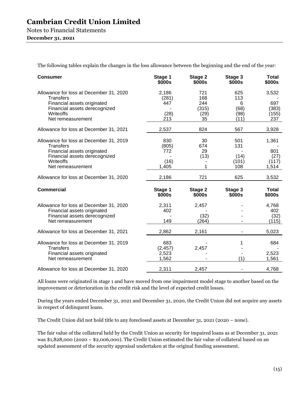The following tables explain the changes in the loss allowance between the beginning and the end of the year:

| <b>Consumer</b>                                                                                                                                               | Stage 1<br>\$000s                    | Stage 2<br>\$000s                        | Stage 3<br>\$000s                       | <b>Total</b><br>\$000s                 |
|---------------------------------------------------------------------------------------------------------------------------------------------------------------|--------------------------------------|------------------------------------------|-----------------------------------------|----------------------------------------|
| Allowance for loss at December 31, 2020<br><b>Transfers</b><br>Financial assets originated<br>Financial assets derecognized<br>Writeoffs<br>Net remeasurement | 2,186<br>(281)<br>447<br>(28)<br>213 | 721<br>168<br>244<br>(315)<br>(29)<br>35 | 625<br>113<br>6<br>(68)<br>(98)<br>(11) | 3,532<br>697<br>(383)<br>(155)<br>237  |
| Allowance for loss at December 31, 2021                                                                                                                       | 2,537                                | 824                                      | 567                                     | 3,928                                  |
| Allowance for loss at December 31, 2019<br><b>Transfers</b><br>Financial assets originated<br>Financial assets derecognized<br>Writeoffs<br>Net remeasurement | 830<br>(805)<br>772<br>(16)<br>1,405 | 30<br>674<br>29<br>(13)                  | 501<br>131<br>(14)<br>(101)<br>108      | 1,361<br>801<br>(27)<br>(117)<br>1,514 |
| Allowance for loss at December 31, 2020                                                                                                                       | 2,186                                | 721                                      | 625                                     | 3,532                                  |
| <b>Commercial</b>                                                                                                                                             | Stage 1<br>\$000s                    | Stage 2<br>\$000s                        | Stage 3<br>\$000s                       | <b>Total</b><br>\$000s                 |
| Allowance for loss at December 31, 2020<br>Financial assets originated<br>Financial assets derecognized<br>Net remeasurement                                  | 2,311<br>402<br>149                  | 2,457<br>(32)<br>(264)                   |                                         | 4,768<br>402<br>(32)<br>(115)          |
| Allowance for loss at December 31, 2021                                                                                                                       | 2,862                                | 2,161                                    |                                         | 5,023                                  |
| Allowance for loss at December 31, 2019<br><b>Transfers</b><br>Financial assets originated<br>Net remeasurement                                               | 683<br>(2, 457)<br>2,523<br>1,562    | 2,457                                    | (1)                                     | 684<br>2,523<br>1,561                  |
| Allowance for loss at December 31, 2020                                                                                                                       | 2,311                                | 2,457                                    |                                         | 4,768                                  |

All loans were originated in stage 1 and have moved from one impairment model stage to another based on the improvement or deterioration in the credit risk and the level of expected credit losses.

During the years ended December 31, 2021 and December 31, 2020, the Credit Union did not acquire any assets in respect of delinquent loans.

The Credit Union did not hold title to any foreclosed assets at December 31, 2021 (2020 – none).

The fair value of the collateral held by the Credit Union as security for impaired loans as at December 31, 2021 was \$1,828,000 (2020 – \$2,006,000). The Credit Union estimated the fair value of collateral based on an updated assessment of the security appraisal undertaken at the original funding assessment.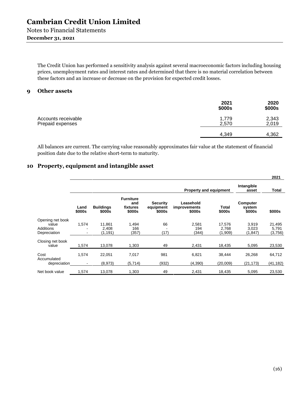### **December 31, 2021**

The Credit Union has performed a sensitivity analysis against several macroeconomic factors including housing prices, unemployment rates and interest rates and determined that there is no material correlation between these factors and an increase or decrease on the provision for expected credit losses.

#### **9 Other assets**

|                                         | 2021<br>\$000s | 2020<br>\$000s |
|-----------------------------------------|----------------|----------------|
| Accounts receivable<br>Prepaid expenses | 1,779<br>2,570 | 2,343<br>2,019 |
|                                         | 4,349          | 4,362          |

All balances are current. The carrying value reasonably approximates fair value at the statement of financial position date due to the relative short-term to maturity.

### **10 Property, equipment and intangible asset**

|                                                        |                         |                             |                                               |                                        |                                            |                            |                              | 2021                       |
|--------------------------------------------------------|-------------------------|-----------------------------|-----------------------------------------------|----------------------------------------|--------------------------------------------|----------------------------|------------------------------|----------------------------|
|                                                        |                         |                             |                                               |                                        | <b>Property and equipment</b>              |                            | Intangible<br>asset          | Total                      |
|                                                        | Land<br>\$000s          | <b>Buildings</b><br>\$000s  | <b>Furniture</b><br>and<br>fixtures<br>\$000s | <b>Security</b><br>equipment<br>\$000s | Leasehold<br><i>improvements</i><br>\$000s | Total<br>\$000s            | Computer<br>system<br>\$000s | \$000s                     |
| Opening net book<br>value<br>Additions<br>Depreciation | 1,574                   | 11,861<br>2,408<br>(1, 191) | 1,494<br>166<br>(357)                         | 66<br>(17)                             | 2,581<br>194<br>(344)                      | 17,576<br>2,768<br>(1,909) | 3,919<br>3,023<br>(1, 847)   | 21,495<br>5,791<br>(3,756) |
| Closing net book<br>value                              | 1,574                   | 13,078                      | 1,303                                         | 49                                     | 2,431                                      | 18,435                     | 5,095                        | 23,530                     |
| Cost<br>Accumulated<br>depreciation                    | 1,574<br>$\blacksquare$ | 22,051<br>(8,973)           | 7,017<br>(5,714)                              | 981<br>(932)                           | 6,821<br>(4,390)                           | 38,444<br>(20,009)         | 26,268<br>(21, 173)          | 64,712<br>(41, 182)        |
| Net book value                                         | 1,574                   | 13,078                      | 1,303                                         | 49                                     | 2,431                                      | 18,435                     | 5,095                        | 23,530                     |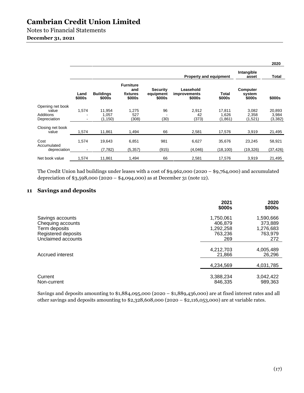Notes to Financial Statements

### **December 31, 2021**

|                                                        |                |                             |                                               |                                        |                                     |                            |                              | 2020                        |
|--------------------------------------------------------|----------------|-----------------------------|-----------------------------------------------|----------------------------------------|-------------------------------------|----------------------------|------------------------------|-----------------------------|
|                                                        |                |                             |                                               |                                        | <b>Property and equipment</b>       |                            | Intangible<br>asset          | Total                       |
|                                                        | Land<br>\$000s | <b>Buildings</b><br>\$000s  | <b>Furniture</b><br>and<br>fixtures<br>\$000s | <b>Security</b><br>equipment<br>\$000s | Leasehold<br>improvements<br>\$000s | Total<br>\$000s            | Computer<br>system<br>\$000s | \$000s                      |
| Opening net book<br>value<br>Additions<br>Depreciation | 1,574          | 11,954<br>1,057<br>(1, 150) | 1,275<br>527<br>(308)                         | 96<br>(30)                             | 2,912<br>42<br>(373)                | 17,811<br>1,626<br>(1,861) | 3,082<br>2,358<br>(1,521)    | 20,893<br>3,984<br>(3, 382) |
| Closing net book<br>value                              | 1,574          | 11,861                      | 1,494                                         | 66                                     | 2,581                               | 17,576                     | 3,919                        | 21,495                      |
| Cost<br>Accumulated<br>depreciation                    | 1,574          | 19,643<br>(7,782)           | 6,851<br>(5, 357)                             | 981<br>(915)                           | 6,627<br>(4,046)                    | 35,676<br>(18, 100)        | 23,245<br>(19, 326)          | 58,921<br>(37, 426)         |
| Net book value                                         | 1,574          | 11.861                      | 1,494                                         | 66                                     | 2.581                               | 17.576                     | 3,919                        | 21,495                      |

The Credit Union had buildings under leases with a cost of \$9,962,000 (2020 – \$9,764,000) and accumulated depreciation of \$3,598,000 (2020 – \$4,094,000) as at December 31 (note 12).

### **11 Savings and deposits**

|                                                                                                     | 2021<br>\$000s                                      | 2020<br>\$000s                                      |
|-----------------------------------------------------------------------------------------------------|-----------------------------------------------------|-----------------------------------------------------|
| Savings accounts<br>Chequing accounts<br>Term deposits<br>Registered deposits<br>Unclaimed accounts | 1,750,061<br>406,879<br>1,292,258<br>763,236<br>269 | 1,590,666<br>373,889<br>1,276,683<br>763,979<br>272 |
| Accrued interest                                                                                    | 4,212,703<br>21,866                                 | 4,005,489<br>26,296                                 |
|                                                                                                     | 4,234,569                                           | 4,031,785                                           |
| Current<br>Non-current                                                                              | 3,388,234<br>846,335                                | 3,042,422<br>989,363                                |

Savings and deposits amounting to \$1,884,095,000 (2020 – \$1,889,436,000) are at fixed interest rates and all other savings and deposits amounting to \$2,328,608,000 (2020 – \$2,116,053,000) are at variable rates.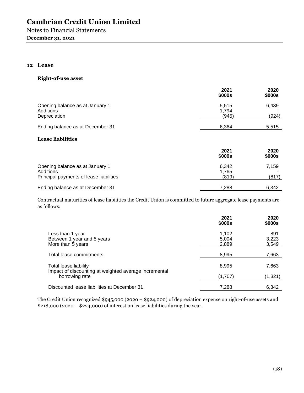### **12 Lease**

#### **Right-of-use asset**

|                                                              | 2021<br>\$000s          | 2020<br>\$000s |
|--------------------------------------------------------------|-------------------------|----------------|
| Opening balance as at January 1<br>Additions<br>Depreciation | 5,515<br>1,794<br>(945) | 6,439<br>(924) |
| Ending balance as at December 31                             | 6.364                   | 5,515          |

### **Lease liabilities**

|                                                                                         | 2021<br>\$000s          | 2020<br>\$000s |
|-----------------------------------------------------------------------------------------|-------------------------|----------------|
| Opening balance as at January 1<br>Additions<br>Principal payments of lease liabilities | 6.342<br>1.765<br>(819) | 7.159<br>(817) |
| Ending balance as at December 31                                                        | 7.288                   | 6,342          |

Contractual maturities of lease liabilities the Credit Union is committed to future aggregate lease payments are as follows:

|                                                                                | 2021<br>\$000s          | 2020<br>\$000s        |
|--------------------------------------------------------------------------------|-------------------------|-----------------------|
| Less than 1 year<br>Between 1 year and 5 years<br>More than 5 years            | 1,102<br>5,004<br>2,889 | 891<br>3,223<br>3,549 |
| Total lease commitments                                                        | 8,995                   | 7,663                 |
| Total lease liability<br>Impact of discounting at weighted average incremental | 8,995                   | 7,663                 |
| borrowing rate                                                                 | (1,707)                 | (1, 321)              |
| Discounted lease liabilities at December 31                                    | 7,288                   | 6,342                 |

The Credit Union recognized \$945,000 (2020 – \$924,000) of depreciation expense on right-of-use assets and  $$218,000 (2020 - $224,000)$  of interest on lease liabilities during the year.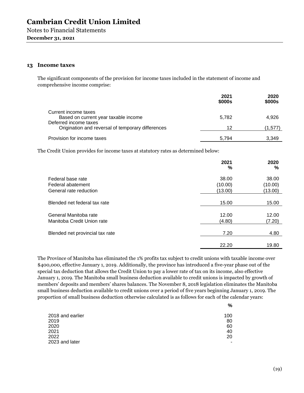#### **13 Income taxes**

The significant components of the provision for income taxes included in the statement of income and comprehensive income comprise:

|                                                                                       | 2021<br>\$000s | 2020<br>\$000s |
|---------------------------------------------------------------------------------------|----------------|----------------|
| Current income taxes<br>Based on current year taxable income<br>Deferred income taxes | 5.782          | 4,926          |
| Origination and reversal of temporary differences                                     | 12             | (1,577)        |
| Provision for income taxes                                                            | 5.794          | 3.349          |

The Credit Union provides for income taxes at statutory rates as determined below:

|                                                                  | 2021<br>%                   | 2020<br>%                   |
|------------------------------------------------------------------|-----------------------------|-----------------------------|
| Federal base rate<br>Federal abatement<br>General rate reduction | 38.00<br>(10.00)<br>(13.00) | 38.00<br>(10.00)<br>(13.00) |
| Blended net federal tax rate                                     | 15.00                       | 15.00                       |
| General Manitoba rate<br>Manitoba Credit Union rate              | 12.00<br>(4.80)             | 12.00<br>(7.20)             |
| Blended net provincial tax rate                                  | 7.20                        | 4.80                        |
|                                                                  | 22.20                       | 19.80                       |

The Province of Manitoba has eliminated the 1% profits tax subject to credit unions with taxable income over \$400,000, effective January 1, 2019. Additionally, the province has introduced a five-year phase out of the special tax deduction that allows the Credit Union to pay a lower rate of tax on its income, also effective January 1, 2019. The Manitoba small business deduction available to credit unions is impacted by growth of members' deposits and members' shares balances. The November 8, 2018 legislation eliminates the Manitoba small business deduction available to credit unions over a period of five years beginning January 1, 2019. The proportion of small business deduction otherwise calculated is as follows for each of the calendar years:

| 2018 and earlier | 100 |
|------------------|-----|
| 2019             | 80  |
| 2020             | 60  |
| 2021             | 40  |
| 2022             | 20  |
| 2023 and later   | -   |

**%**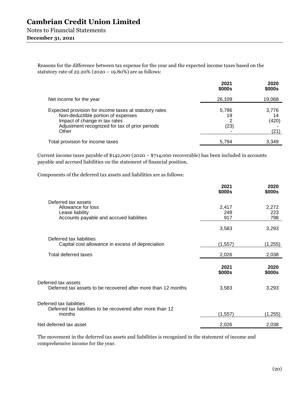Notes to Financial Statements

### **December 31, 2021**

Reasons for the difference between tax expense for the year and the expected income taxes based on the statutory rate of 22.20% (2020 – 19.80%) are as follows:

|                                                                                                                                                                                          | 2021<br>\$000s           | 2020<br>\$000s               |
|------------------------------------------------------------------------------------------------------------------------------------------------------------------------------------------|--------------------------|------------------------------|
| Net income for the year                                                                                                                                                                  | 26,109                   | 19,068                       |
| Expected provision for income taxes at statutory rates<br>Non-deductible portion of expenses<br>Impact of change in tax rates<br>Adjustment recognized for tax of prior periods<br>Other | 5,796<br>19<br>2<br>(23) | 3,776<br>14<br>(420)<br>(21) |
| Total provision for income taxes                                                                                                                                                         | 5,794                    | 3,349                        |

Current income taxes payable of \$142,000 (2020 – \$714,000 recoverable) has been included in accounts payable and accrued liabilities on the statement of financial position.

Components of the deferred tax assets and liabilities are as follows:

|                                                                                                          | 2021<br>\$000s      | 2020<br>\$000s      |
|----------------------------------------------------------------------------------------------------------|---------------------|---------------------|
| Deferred tax assets<br>Allowance for loss<br>Lease liability<br>Accounts payable and accrued liabilities | 2,417<br>249<br>917 | 2,272<br>223<br>798 |
|                                                                                                          | 3,583               | 3,293               |
| Deferred tax liabilities<br>Capital cost allowance in excess of depreciation                             | (1, 557)            | (1,255)             |
| Total deferred taxes                                                                                     | 2,026               | 2,038               |
|                                                                                                          | 2021<br>\$000s      | 2020<br>\$000s      |
| Deferred tax assets<br>Deferred tax assets to be recovered after more than 12 months                     | 3,583               | 3,293               |
| Deferred tax liabilities<br>Deferred tax liabilities to be recovered after more than 12<br>months        | (1, 557)            | (1,255)             |
| Net deferred tax asset                                                                                   | 2,026               | 2,038               |

The movement in the deferred tax assets and liabilities is recognized in the statement of income and comprehensive income for the year.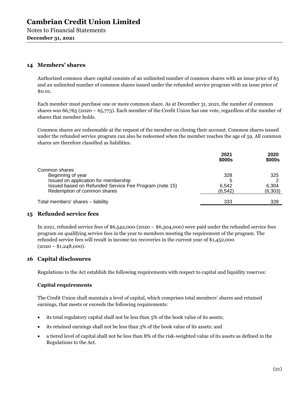### **14 Members' shares**

Authorized common share capital consists of an unlimited number of common shares with an issue price of \$5 and an unlimited number of common shares issued under the refunded service program with an issue price of \$0.01.

Each member must purchase one or more common share. As at December 31, 2021, the number of common shares was 66,765 (2020 – 65,773). Each member of the Credit Union has one vote, regardless of the number of shares that member holds.

Common shares are redeemable at the request of the member on closing their account. Common shares issued under the refunded service program can also be redeemed when the member reaches the age of 59. All common shares are therefore classified as liabilities.

|                                                        | 2021<br>\$000s | 2020<br>\$000s |
|--------------------------------------------------------|----------------|----------------|
| Common shares                                          |                |                |
| Beginning of year                                      | 328            | 325            |
| Issued on application for membership                   | 5              |                |
| Issued based on Refunded Service Fee Program (note 15) | 6.542          | 6,304          |
| Redemption of common shares                            | (6, 542)       | (6,303)        |
| Total members' shares - liability                      | 333            | 328            |

### **15 Refunded service fees**

In 2021, refunded service fees of \$6,542,000 (2020 – \$6,304,000) were paid under the refunded service fees program on qualifying service fees in the year to members meeting the requirement of the program. The refunded service fees will result in income tax recoveries in the current year of \$1,452,000  $(2020 - $1,248,000)$ .

### **16 Capital disclosures**

Regulations to the Act establish the following requirements with respect to capital and liquidity reserves:

### **Capital requirements**

The Credit Union shall maintain a level of capital, which comprises total members' shares and retained earnings, that meets or exceeds the following requirements:

- its total regulatory capital shall not be less than 5% of the book value of its assets;
- its retained earnings shall not be less than 3% of the book value of its assets; and
- a tiered level of capital shall not be less than 8% of the risk-weighted value of its assets as defined in the Regulations to the Act.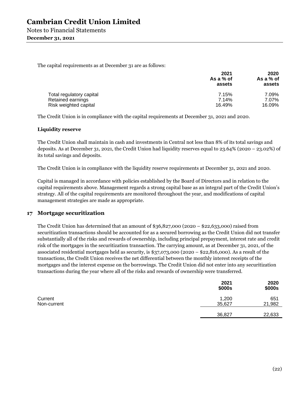The capital requirements as at December 31 are as follows:

|                          | 2021<br>As a $%$ of<br>assets | 2020<br>As a $%$ of<br>assets |  |
|--------------------------|-------------------------------|-------------------------------|--|
| Total regulatory capital | 7.15%                         | 7.09%                         |  |
| Retained earnings        | 7.14%                         | 7.07%                         |  |
| Risk weighted capital    | 16.49%                        | 16.09%                        |  |

The Credit Union is in compliance with the capital requirements at December 31, 2021 and 2020.

#### **Liquidity reserve**

The Credit Union shall maintain in cash and investments in Central not less than 8% of its total savings and deposits. As at December 31, 2021, the Credit Union had liquidity reserves equal to 23.64% (2020 – 23.02%) of its total savings and deposits.

The Credit Union is in compliance with the liquidity reserve requirements at December 31, 2021 and 2020.

Capital is managed in accordance with policies established by the Board of Directors and in relation to the capital requirements above. Management regards a strong capital base as an integral part of the Credit Union's strategy. All of the capital requirements are monitored throughout the year, and modifications of capital management strategies are made as appropriate.

### **17 Mortgage securitization**

The Credit Union has determined that an amount of \$36,827,000 (2020 – \$22,633,000) raised from securitization transactions should be accounted for as a secured borrowing as the Credit Union did not transfer substantially all of the risks and rewards of ownership, including principal prepayment, interest rate and credit risk of the mortgages in the securitization transaction. The carrying amount, as at December 31, 2021, of the associated residential mortgages held as security, is \$37,073,000 (2020 – \$22,816,000). As a result of the transactions, the Credit Union receives the net differential between the monthly interest receipts of the mortgages and the interest expense on the borrowings. The Credit Union did not enter into any securitization transactions during the year where all of the risks and rewards of ownership were transferred.

|                        | 2021<br>\$000s  | 2020<br>\$000s |
|------------------------|-----------------|----------------|
| Current<br>Non-current | 1,200<br>35,627 | 651<br>21,982  |
|                        | 36,827          | 22,633         |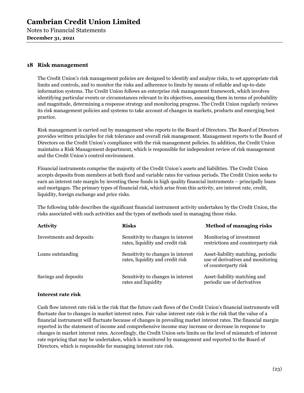Notes to Financial Statements **December 31, 2021** 

### **18 Risk management**

The Credit Union's risk management policies are designed to identify and analyze risks, to set appropriate risk limits and controls, and to monitor the risks and adherence to limits by means of reliable and up-to-date information systems. The Credit Union follows an enterprise risk management framework, which involves identifying particular events or circumstances relevant to its objectives, assessing them in terms of probability and magnitude, determining a response strategy and monitoring progress. The Credit Union regularly reviews its risk management policies and systems to take account of changes in markets, products and emerging best practice.

Risk management is carried out by management who reports to the Board of Directors. The Board of Directors provides written principles for risk tolerance and overall risk management. Management reports to the Board of Directors on the Credit Union's compliance with the risk management policies. In addition, the Credit Union maintains a Risk Management department, which is responsible for independent review of risk management and the Credit Union's control environment.

Financial instruments comprise the majority of the Credit Union's assets and liabilities. The Credit Union accepts deposits from members at both fixed and variable rates for various periods. The Credit Union seeks to earn an interest rate margin by investing these funds in high quality financial instruments – principally loans and mortgages. The primary types of financial risk, which arise from this activity, are interest rate, credit, liquidity, foreign exchange and price risks.

The following table describes the significant financial instrument activity undertaken by the Credit Union, the risks associated with such activities and the types of methods used in managing those risks.

| <b>Activity</b>          | <b>Risks</b>                                                           | <b>Method of managing risks</b>                                                                 |
|--------------------------|------------------------------------------------------------------------|-------------------------------------------------------------------------------------------------|
| Investments and deposits | Sensitivity to changes in interest<br>rates, liquidity and credit risk | Monitoring of investment<br>restrictions and counterparty risk                                  |
| Loans outstanding        | Sensitivity to changes in interest<br>rates, liquidity and credit risk | Asset-liability matching, periodic<br>use of derivatives and monitoring<br>of counterparty risk |
| Savings and deposits     | Sensitivity to changes in interest<br>rates and liquidity              | Asset-liability matching and<br>periodic use of derivatives                                     |

### **Interest rate risk**

Cash flow interest rate risk is the risk that the future cash flows of the Credit Union's financial instruments will fluctuate due to changes in market interest rates. Fair value interest rate risk is the risk that the value of a financial instrument will fluctuate because of changes in prevailing market interest rates. The financial margin reported in the statement of income and comprehensive income may increase or decrease in response to changes in market interest rates. Accordingly, the Credit Union sets limits on the level of mismatch of interest rate repricing that may be undertaken, which is monitored by management and reported to the Board of Directors, which is responsible for managing interest rate risk.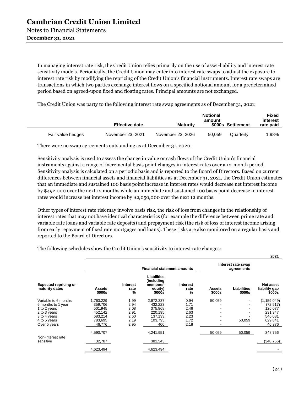**December 31, 2021** 

In managing interest rate risk, the Credit Union relies primarily on the use of asset-liability and interest rate sensitivity models. Periodically, the Credit Union may enter into interest rate swaps to adjust the exposure to interest rate risk by modifying the repricing of the Credit Union's financial instruments. Interest rate swaps are transactions in which two parties exchange interest flows on a specified notional amount for a predetermined period based on agreed-upon fixed and floating rates. Principal amounts are not exchanged.

The Credit Union was party to the following interest rate swap agreements as of December 31, 2021:

|                   | <b>Effective date</b> | <b>Maturity</b>   | <b>Notional</b><br>amount | \$000s Settlement | Fixed<br>interest<br>rate paid |
|-------------------|-----------------------|-------------------|---------------------------|-------------------|--------------------------------|
| Fair value hedges | November 23, 2021     | November 23, 2026 | 50.059                    | Quarterly         | l.98%                          |

There were no swap agreements outstanding as at December 31, 2020.

Sensitivity analysis is used to assess the change in value or cash flows of the Credit Union's financial instruments against a range of incremental basis point changes in interest rates over a 12-month period. Sensitivity analysis is calculated on a periodic basis and is reported to the Board of Directors. Based on current differences between financial assets and financial liabilities as at December 31, 2021, the Credit Union estimates that an immediate and sustained 100 basis point increase in interest rates would decrease net interest income by \$492,000 over the next 12 months while an immediate and sustained 100 basis point decrease in interest rates would increase net interest income by \$2,050,000 over the next 12 months.

Other types of interest rate risk may involve basis risk, the risk of loss from changes in the relationship of interest rates that may not have identical characteristics (for example the difference between prime rate and variable rate loans and variable rate deposits) and prepayment risk (the risk of loss of interest income arising from early repayment of fixed rate mortgages and loans). These risks are also monitored on a regular basis and reported to the Board of Directors.

The following schedules show the Credit Union's sensitivity to interest rate changes:

|                                                |                         |                                   |                                                                   |                       |                         |                                  | 2021                                 |
|------------------------------------------------|-------------------------|-----------------------------------|-------------------------------------------------------------------|-----------------------|-------------------------|----------------------------------|--------------------------------------|
|                                                |                         |                                   | <b>Financial statement amounts</b>                                |                       |                         | Interest rate swap<br>agreements |                                      |
| <b>Expected repricing or</b><br>maturity dates | <b>Assets</b><br>\$000s | Interest<br>rate<br>$\frac{9}{6}$ | <b>Liabilities</b><br>(including<br>members'<br>equity)<br>\$000s | Interest<br>rate<br>% | <b>Assets</b><br>\$000s | Liabilities<br>\$000s            | Net asset<br>liability gap<br>\$000s |
| Variable to 6 months                           | 1,763,229               | 1.99                              | 2,972,337                                                         | 0.94                  | 50,059                  |                                  | (1, 159, 049)                        |
| 6 months to 1 year                             | 359,706                 | 2.94                              | 432,223                                                           | 1.71                  |                         |                                  | (72, 517)                            |
| 1 to 2 years                                   | 501,945                 | 3.08                              | 375,868                                                           | 2.46                  |                         |                                  | 126,077                              |
| 2 to 3 years                                   | 452,142                 | 2.91                              | 220,195                                                           | 2.63                  |                         |                                  | 231,947                              |
| 3 to 4 years                                   | 683,214                 | 2.60                              | 137,133                                                           | 2.23                  |                         |                                  | 546,081                              |
| 4 to 5 years                                   | 783,695                 | 2.19                              | 103.795                                                           | 1.72                  |                         | 50,059                           | 629,841                              |
| Over 5 years                                   | 46,776                  | 2.95                              | 400                                                               | 2.18                  |                         |                                  | 46,376                               |
|                                                | 4,590,707               |                                   | 4,241,951                                                         |                       | 50,059                  | 50,059                           | 348,756                              |
| Non-interest rate                              |                         |                                   |                                                                   |                       |                         |                                  |                                      |
| sensitive                                      | 32,787                  |                                   | 381,543                                                           |                       |                         |                                  | (348,756)                            |
|                                                | 4,623,494               |                                   | 4,623,494                                                         |                       |                         |                                  |                                      |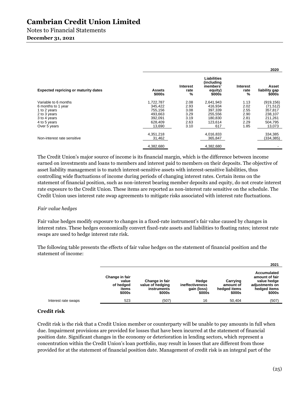# Notes to Financial Statements

### **December 31, 2021**

|                                             |                         |                              |                                                            |                       | 2020                             |
|---------------------------------------------|-------------------------|------------------------------|------------------------------------------------------------|-----------------------|----------------------------------|
| <b>Expected repricing or maturity dates</b> | <b>Assets</b><br>\$000s | <b>Interest</b><br>rate<br>% | Liabilities<br>(including<br>members'<br>equity)<br>\$000s | Interest<br>rate<br>% | Asset<br>liability gap<br>\$000s |
| Variable to 6 months                        | 1,722,787               | 2.08                         | 2,641,943                                                  | 1.13                  | (919, 156)                       |
| 6 months to 1 year                          | 345.422                 | 2.93                         | 416,934                                                    | 2.02                  | (71, 512)                        |
| 1 to 2 years                                | 755,156                 | 3.08                         | 397,339                                                    | 2.55                  | 357,817                          |
| 2 to 3 years                                | 493,663                 | 3.29                         | 255,556                                                    | 2.90                  | 238,107                          |
| 3 to 4 years                                | 392,091                 | 3.19                         | 180.830                                                    | 2.81                  | 211,261                          |
| 4 to 5 years                                | 628.409                 | 2.63                         | 123.614                                                    | 2.29                  | 504,795                          |
| Over 5 years                                | 13,690                  | 3.10                         | 617                                                        | 1.85                  | 13,073                           |
| Non-interest rate sensitive                 | 4,351,218<br>31,462     |                              | 4,016,833<br>365,847                                       |                       | 334,385<br>(334, 385)            |
|                                             | 4.382.680               |                              | 4.382.680                                                  |                       |                                  |

The Credit Union's major source of income is its financial margin, which is the difference between income earned on investments and loans to members and interest paid to members on their deposits. The objective of asset liability management is to match interest-sensitive assets with interest-sensitive liabilities, thus controlling wide fluctuations of income during periods of changing interest rates. Certain items on the statement of financial position, such as non-interest bearing member deposits and equity, do not create interest rate exposure to the Credit Union. These items are reported as non-interest rate sensitive on the schedule. The Credit Union uses interest rate swap agreements to mitigate risks associated with interest rate fluctuations.

### *Fair value hedges*

Fair value hedges modify exposure to changes in a fixed-rate instrument's fair value caused by changes in interest rates. These hedges economically convert fixed-rate assets and liabilities to floating rates; interest rate swaps are used to hedge interest rate risk.

The following table presents the effects of fair value hedges on the statement of financial position and the statement of income:

|                     |                                                         |                                                             |                                                   |                                                 | 2021                                                                                     |
|---------------------|---------------------------------------------------------|-------------------------------------------------------------|---------------------------------------------------|-------------------------------------------------|------------------------------------------------------------------------------------------|
|                     | Change in fair<br>value<br>of hedged<br>items<br>\$000s | Change in fair<br>value of hedging<br>instruments<br>\$000s | Hedge<br>ineffectiveness<br>gain (loss)<br>\$000s | Carrying<br>amount of<br>hedged items<br>\$000s | Accumulated<br>amount of fair<br>value hedge<br>adiustments on<br>hedged items<br>\$000s |
| Interest rate swaps | 523                                                     | (507)                                                       | 16                                                | 50.404                                          | (507)                                                                                    |

### **Credit risk**

Credit risk is the risk that a Credit Union member or counterparty will be unable to pay amounts in full when due. Impairment provisions are provided for losses that have been incurred at the statement of financial position date. Significant changes in the economy or deterioration in lending sectors, which represent a concentration within the Credit Union's loan portfolio, may result in losses that are different from those provided for at the statement of financial position date. Management of credit risk is an integral part of the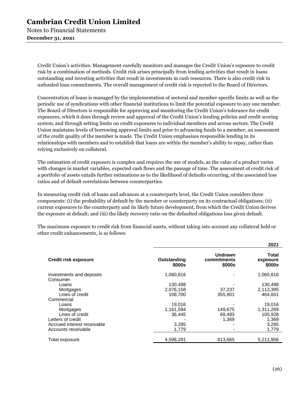Notes to Financial Statements **December 31, 2021** 

> Credit Union's activities. Management carefully monitors and manages the Credit Union's exposure to credit risk by a combination of methods. Credit risk arises principally from lending activities that result in loans outstanding and investing activities that result in investments in cash resources. There is also credit risk in unfunded loan commitments. The overall management of credit risk is reported to the Board of Directors.

Concentration of loans is managed by the implementation of sectoral and member specific limits as well as the periodic use of syndications with other financial institutions to limit the potential exposure to any one member. The Board of Directors is responsible for approving and monitoring the Credit Union's tolerance for credit exposures, which it does through review and approval of the Credit Union's lending policies and credit scoring system, and through setting limits on credit exposures to individual members and across sectors. The Credit Union maintains levels of borrowing approval limits and prior to advancing funds to a member; an assessment of the credit quality of the member is made. The Credit Union emphasizes responsible lending in its relationships with members and to establish that loans are within the member's ability to repay, rather than relying exclusively on collateral.

The estimation of credit exposure is complex and requires the use of models, as the value of a product varies with changes in market variables, expected cash flows and the passage of time. The assessment of credit risk of a portfolio of assets entails further estimations as to the likelihood of defaults occurring, of the associated loss ratios and of default correlations between counterparties.

In measuring credit risk of loans and advances at a counterparty level, the Credit Union considers three components: (i) the probability of default by the member or counterparty on its contractual obligations; (ii) current exposures to the counterparty and its likely future development, from which the Credit Union derives the exposure at default; and (iii) the likely recovery ratio on the defaulted obligations loss given default.

The maximum exposure to credit risk from financial assets, without taking into account any collateral held or other credit enhancements, is as follows:

|                                                    |                       |                                  | 2021                        |
|----------------------------------------------------|-----------------------|----------------------------------|-----------------------------|
| <b>Credit risk exposure</b>                        | Outstanding<br>\$000s | Undrawn<br>commitments<br>\$000s | Total<br>exposure<br>\$000s |
| Investments and deposits<br>Consumer               | 1,060,816             |                                  | 1,060,816                   |
| Loans<br>Mortgages                                 | 130,498<br>2,076,158  | 37,237                           | 130,498<br>2,113,395        |
| Lines of credit<br>Commercial                      | 108.700               | 355,901                          | 464,601                     |
| Loans<br>Mortgages                                 | 19,016<br>1,161,594   | 149,675                          | 19,016<br>1,311,269         |
| Lines of credit<br>Letters of credit               | 36.445                | 69.483<br>1,369                  | 105.928<br>1,369            |
| Accrued interest receivable<br>Accounts receivable | 3,285<br>1.779        |                                  | 3,285<br>1.779              |
| Total exposure                                     | 4,598,291             | 613,665                          | 5,211,956                   |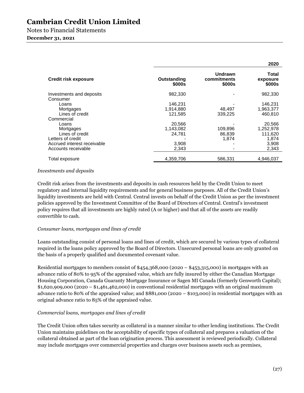|                                      |                       |                                  | 2020                        |
|--------------------------------------|-----------------------|----------------------------------|-----------------------------|
| <b>Credit risk exposure</b>          | Outstanding<br>\$000s | Undrawn<br>commitments<br>\$000s | Total<br>exposure<br>\$000s |
| Investments and deposits<br>Consumer | 982,330               |                                  | 982,330                     |
| Loans                                | 146,231               |                                  | 146.231                     |
| Mortgages                            | 1,914,880             | 48,497                           | 1,963,377                   |
| Lines of credit                      | 121,585               | 339.225                          | 460.810                     |
| Commercial                           |                       |                                  |                             |
| Loans                                | 20,566                |                                  | 20,566                      |
| Mortgages                            | 1,143,082             | 109,896                          | 1,252,978                   |
| Lines of credit                      | 24,781                | 86,839                           | 111,620                     |
| Letters of credit                    |                       | 1,874                            | 1,874                       |
| Accrued interest receivable          | 3,908                 |                                  | 3,908                       |
| Accounts receivable                  | 2,343                 |                                  | 2,343                       |
| Total exposure                       | 4,359,706             | 586.331                          | 4,946,037                   |

### *Investments and deposits*

Credit risk arises from the investments and deposits in cash resources held by the Credit Union to meet regulatory and internal liquidity requirements and for general business purposes. All of the Credit Union's liquidity investments are held with Central. Central invests on behalf of the Credit Union as per the investment policies approved by the Investment Committee of the Board of Directors of Central. Central's investment policy requires that all investments are highly rated (A or higher) and that all of the assets are readily convertible to cash.

### *Consumer loans, mortgages and lines of credit*

Loans outstanding consist of personal loans and lines of credit, which are secured by various types of collateral required in the loans policy approved by the Board of Directors. Unsecured personal loans are only granted on the basis of a properly qualified and documented covenant value.

Residential mortgages to members consist of \$454,368,000 (2020 – \$453,315,000) in mortgages with an advance ratio of 80% to 95% of the appraised value, which are fully insured by either the Canadian Mortgage Housing Corporation, Canada Guaranty Mortgage Insurance or Sagen MI Canada (formerly Genworth Capital);  $$1,620,909,000$  (2020 –  $$1,461,462,000$ ) in conventional residential mortgages with an original maximum advance ratio to 80% of the appraised value; and \$881,000 (2020 – \$103,000) in residential mortgages with an original advance ratio to 85% of the appraised value.

### *Commercial loans, mortgages and lines of credit*

The Credit Union often takes security as collateral in a manner similar to other lending institutions. The Credit Union maintains guidelines on the acceptability of specific types of collateral and prepares a valuation of the collateral obtained as part of the loan origination process. This assessment is reviewed periodically. Collateral may include mortgages over commercial properties and charges over business assets such as premises,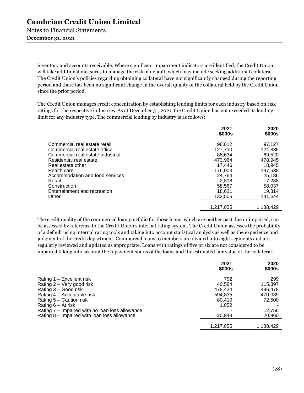> inventory and accounts receivable. Where significant impairment indicators are identified, the Credit Union will take additional measures to manage the risk of default, which may include seeking additional collateral. The Credit Union's policies regarding obtaining collateral have not significantly changed during the reporting period and there has been no significant change in the overall quality of the collateral held by the Credit Union since the prior period.

The Credit Union manages credit concentration by establishing lending limits for each industry based on risk ratings for the respective industries. As at December 31, 2021, the Credit Union has not exceeded its lending limit for any industry type. The commercial lending by industry is as follows:

|                                                                                                                                                                                                                                                                          | 2021<br>\$000s                                                                                                             | 2020<br>\$000s                                                                                                             |
|--------------------------------------------------------------------------------------------------------------------------------------------------------------------------------------------------------------------------------------------------------------------------|----------------------------------------------------------------------------------------------------------------------------|----------------------------------------------------------------------------------------------------------------------------|
| Commercial real estate retail<br>Commercial real estate office<br>Commercial real estate industrial<br>Residential real estate<br>Real estate other<br>Health care<br>Accommodation and food services<br>Retail<br>Construction<br>Entertainment and recreation<br>Other | 96.012<br>127,730<br>88,634<br>473.964<br>17.446<br>176.003<br>24.764<br>2,808<br>58.567<br>18.621<br>132,506<br>1,217,055 | 97,127<br>124,885<br>69,520<br>478.945<br>18,945<br>147.538<br>25,186<br>7,288<br>58.037<br>19.314<br>141,644<br>1,188,429 |
|                                                                                                                                                                                                                                                                          |                                                                                                                            |                                                                                                                            |

The credit quality of the commercial loan portfolio for those loans, which are neither past due or impaired, can be assessed by reference to the Credit Union's internal rating system. The Credit Union assesses the probability of a default using internal rating tools and taking into account statistical analysis as well as the experience and judgment of the credit department. Commercial loans to members are divided into eight segments and are regularly reviewed and updated as appropriate. Loans with ratings of five or six are not considered to be impaired taking into account the repayment status of the loans and the estimated fair value of the collateral.

|                                                 | 2021<br>\$000s | 2020<br>\$000s |
|-------------------------------------------------|----------------|----------------|
| Rating $1 -$ Excellent risk                     | 792            | 299            |
| Rating 2 – Very good risk                       | 40.584         | 115,397        |
| Rating 3 - Good risk                            | 478.434        | 496,478        |
| Rating 4 – Acceptable risk                      | 594.835        | 470,039        |
| Rating 5 - Caution risk                         | 80.410         | 72,500         |
| Rating $6 - At$ risk                            | 1,052          |                |
| Rating 7 – Impaired with no loan loss allowance |                | 12,756         |
| Rating 8 – Impaired with loan loss allowance    | 20.948         | 20,960         |
|                                                 |                |                |
|                                                 | 1,217,055      | 1,188,429      |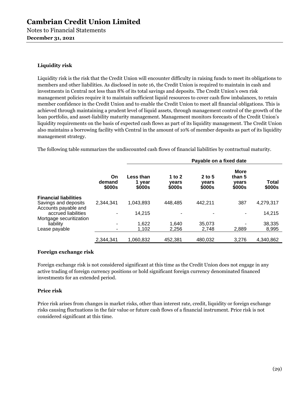### **Liquidity risk**

Liquidity risk is the risk that the Credit Union will encounter difficulty in raising funds to meet its obligations to members and other liabilities. As disclosed in note 16, the Credit Union is required to maintain in cash and investments in Central not less than 8% of its total savings and deposits. The Credit Union's own risk management policies require it to maintain sufficient liquid resources to cover cash flow imbalances, to retain member confidence in the Credit Union and to enable the Credit Union to meet all financial obligations. This is achieved through maintaining a prudent level of liquid assets, through management control of the growth of the loan portfolio, and asset-liability maturity management. Management monitors forecasts of the Credit Union's liquidity requirements on the basis of expected cash flows as part of its liquidity management. The Credit Union also maintains a borrowing facility with Central in the amount of 10% of member deposits as part of its liquidity management strategy.

The following table summarizes the undiscounted cash flows of financial liabilities by contractual maturity.

|                                              |                        |                               |                             | Payable on a fixed date   |                                          |                 |
|----------------------------------------------|------------------------|-------------------------------|-----------------------------|---------------------------|------------------------------------------|-----------------|
|                                              | On<br>demand<br>\$000s | Less than<br>1 year<br>\$000s | 1 to $2$<br>vears<br>\$000s | 2 to 5<br>vears<br>\$000s | <b>More</b><br>than 5<br>vears<br>\$000s | Total<br>\$000s |
| <b>Financial liabilities</b>                 |                        |                               |                             |                           |                                          |                 |
| Savings and deposits<br>Accounts payable and | 2.344.341              | 1.043.893                     | 448,485                     | 442.211                   | 387                                      | 4,279,317       |
| accrued liabilities                          | ٠                      | 14,215                        |                             |                           |                                          | 14,215          |
| Mortgage securitization                      |                        |                               |                             |                           |                                          |                 |
| liability<br>Lease payable                   | ٠<br>۰                 | 1,622<br>1.102                | 1.640<br>2.256              | 35.073<br>2.748           | 2,889                                    | 38,335<br>8,995 |
|                                              |                        |                               |                             |                           |                                          |                 |
|                                              | 2.344.341              | 1.060.832                     | 452.381                     | 480,032                   | 3.276                                    | 4,340,862       |

### **Foreign exchange risk**

Foreign exchange risk is not considered significant at this time as the Credit Union does not engage in any active trading of foreign currency positions or hold significant foreign currency denominated financed investments for an extended period.

### **Price risk**

Price risk arises from changes in market risks, other than interest rate, credit, liquidity or foreign exchange risks causing fluctuations in the fair value or future cash flows of a financial instrument. Price risk is not considered significant at this time.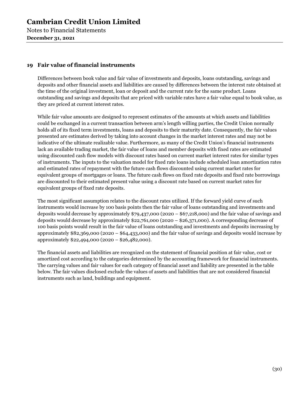Notes to Financial Statements **December 31, 2021** 

### **19 Fair value of financial instruments**

Differences between book value and fair value of investments and deposits, loans outstanding, savings and deposits and other financial assets and liabilities are caused by differences between the interest rate obtained at the time of the original investment, loan or deposit and the current rate for the same product. Loans outstanding and savings and deposits that are priced with variable rates have a fair value equal to book value, as they are priced at current interest rates.

While fair value amounts are designed to represent estimates of the amounts at which assets and liabilities could be exchanged in a current transaction between arm's length willing parties, the Credit Union normally holds all of its fixed term investments, loans and deposits to their maturity date. Consequently, the fair values presented are estimates derived by taking into account changes in the market interest rates and may not be indicative of the ultimate realizable value. Furthermore, as many of the Credit Union's financial instruments lack an available trading market, the fair value of loans and member deposits with fixed rates are estimated using discounted cash flow models with discount rates based on current market interest rates for similar types of instruments. The inputs to the valuation model for fixed rate loans include scheduled loan amortization rates and estimated rates of repayment with the future cash flows discounted using current market rates for equivalent groups of mortgages or loans. The future cash flows on fixed rate deposits and fixed rate borrowings are discounted to their estimated present value using a discount rate based on current market rates for equivalent groups of fixed rate deposits.

The most significant assumption relates to the discount rates utilized. If the forward yield curve of such instruments would increase by 100 basis points then the fair value of loans outstanding and investments and deposits would decrease by approximately \$79,437,000 (2020 – \$67,218,000) and the fair value of savings and deposits would decrease by approximately \$22,761,000 (2020 – \$26,371,000). A corresponding decrease of 100 basis points would result in the fair value of loans outstanding and investments and deposits increasing by approximately \$82,369,000 (2020 – \$64,433,000) and the fair value of savings and deposits would increase by approximately \$22,494,000 (2020 – \$26,482,000).

The financial assets and liabilities are recognized on the statement of financial position at fair value, cost or amortized cost according to the categories determined by the accounting framework for financial instruments. The carrying values and fair values for each category of financial asset and liability are presented in the table below. The fair values disclosed exclude the values of assets and liabilities that are not considered financial instruments such as land, buildings and equipment.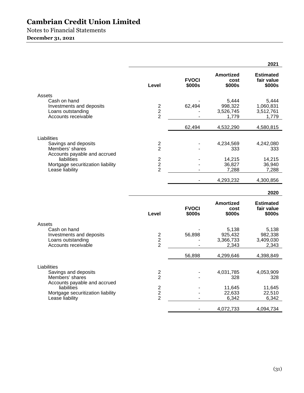Notes to Financial Statements

### **December 31, 2021**

|                                                                                                                                                               |                                                    |                        |                                        | 2021                                     |
|---------------------------------------------------------------------------------------------------------------------------------------------------------------|----------------------------------------------------|------------------------|----------------------------------------|------------------------------------------|
|                                                                                                                                                               | Level                                              | <b>FVOCI</b><br>\$000s | <b>Amortized</b><br>cost<br>\$000s     | <b>Estimated</b><br>fair value<br>\$000s |
| Assets                                                                                                                                                        |                                                    |                        |                                        |                                          |
| Cash on hand<br>Investments and deposits<br>Loans outstanding<br>Accounts receivable                                                                          | $\overline{2}$<br>$\overline{2}$<br>$\overline{2}$ | 62,494                 | 5,444<br>998,322<br>3,526,745<br>1,779 | 5,444<br>1,060,831<br>3,512,761<br>1,779 |
|                                                                                                                                                               |                                                    | 62,494                 | 4,532,290                              | 4,580,815                                |
| Liabilities<br>Savings and deposits<br>Members' shares<br>Accounts payable and accrued<br>liabilities<br>Mortgage securitization liability<br>Lease liability | $\mathbf{2}$<br>$\overline{2}$                     |                        | 4,234,569<br>333                       | 4,242,080<br>333                         |
|                                                                                                                                                               | $\overline{2}$<br>$\overline{2}$<br>$\overline{2}$ |                        | 14,215<br>36,827<br>7,288              | 14,215<br>36,940<br>7,288                |
|                                                                                                                                                               |                                                    |                        | 4,293,232                              | 4,300,856                                |
|                                                                                                                                                               |                                                    |                        |                                        | 2020                                     |
|                                                                                                                                                               |                                                    | <b>FVOCI</b>           | <b>Amortized</b><br>cost               | <b>Estimated</b><br>fair value           |
|                                                                                                                                                               | Level                                              | \$000s                 | \$000s                                 | \$000s                                   |
| Assets<br>Cash on hand<br>Investments and deposits<br>Loans outstanding<br>Accounts receivable                                                                | $\mathbf{2}$<br>$\overline{2}$<br>$\overline{2}$   | 56,898                 | 5,138<br>925,432<br>3,366,733<br>2,343 | 5,138<br>982,338<br>3,409,030<br>2,343   |
|                                                                                                                                                               |                                                    | 56,898                 | 4,299,646                              | 4,398,849                                |
| Liabilities<br>Savings and deposits<br>Members' shares<br>Accounts payable and accrued                                                                        | $\overline{c}$<br>$\overline{2}$                   |                        | 4,031,785<br>328                       | 4,053,909<br>328                         |
| liabilities<br>Mortgage securitization liability<br>Lease liability                                                                                           | $\sqrt{2}$<br>$\overline{2}$<br>$\overline{2}$     |                        | 11,645<br>22,633<br>6,342              | 11,645<br>22,510<br>6,342                |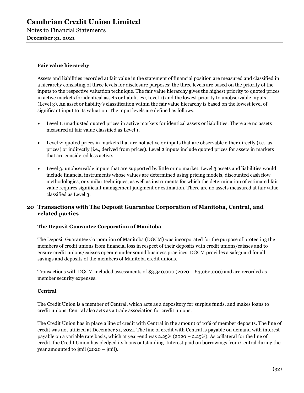Notes to Financial Statements **December 31, 2021** 

### **Fair value hierarchy**

Assets and liabilities recorded at fair value in the statement of financial position are measured and classified in a hierarchy consisting of three levels for disclosure purposes; the three levels are based on the priority of the inputs to the respective valuation technique. The fair value hierarchy gives the highest priority to quoted prices in active markets for identical assets or liabilities (Level 1) and the lowest priority to unobservable inputs (Level 3). An asset or liability's classification within the fair value hierarchy is based on the lowest level of significant input to its valuation. The input levels are defined as follows:

- Level 1: unadjusted quoted prices in active markets for identical assets or liabilities. There are no assets measured at fair value classified as Level 1.
- Level 2: quoted prices in markets that are not active or inputs that are observable either directly (i.e., as prices) or indirectly (i.e., derived from prices). Level 2 inputs include quoted prices for assets in markets that are considered less active.
- Level 3: unobservable inputs that are supported by little or no market. Level 3 assets and liabilities would include financial instruments whose values are determined using pricing models, discounted cash flow methodologies, or similar techniques, as well as instruments for which the determination of estimated fair value requires significant management judgment or estimation. There are no assets measured at fair value classified as Level 3.

### **20 Transactions with The Deposit Guarantee Corporation of Manitoba, Central, and related parties**

### **The Deposit Guarantee Corporation of Manitoba**

The Deposit Guarantee Corporation of Manitoba (DGCM) was incorporated for the purpose of protecting the members of credit unions from financial loss in respect of their deposits with credit unions/caisses and to ensure credit unions/caisses operate under sound business practices. DGCM provides a safeguard for all savings and deposits of the members of Manitoba credit unions.

Transactions with DGCM included assessments of \$3,340,000 (2020 – \$3,062,000) and are recorded as member security expenses.

### **Central**

The Credit Union is a member of Central, which acts as a depository for surplus funds, and makes loans to credit unions. Central also acts as a trade association for credit unions.

The Credit Union has in place a line of credit with Central in the amount of 10% of member deposits. The line of credit was not utilized at December 31, 2021. The line of credit with Central is payable on demand with interest payable on a variable rate basis, which at year-end was 2.25% (2020 – 2.25%). As collateral for the line of credit, the Credit Union has pledged its loans outstanding. Interest paid on borrowings from Central during the year amounted to \$nil (2020 – \$nil).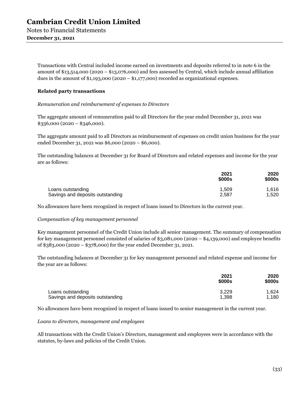**December 31, 2021** 

Transactions with Central included income earned on investments and deposits referred to in note 6 in the amount of  $\frac{1}{3,514,000}$  (2020 –  $\frac{1}{3,076,000}$ ) and fees assessed by Central, which include annual affiliation dues in the amount of  $\frac{41,193,000}{2020 - \frac{11,177,000}{2000}}$  recorded as organizational expenses.

### **Related party transactions**

*Remuneration and reimbursement of expenses to Directors* 

The aggregate amount of remuneration paid to all Directors for the year ended December 31, 2021 was  $$336,000 (2020 - $346,000).$ 

The aggregate amount paid to all Directors as reimbursement of expenses on credit union business for the year ended December 31, 2021 was \$6,000 (2020 – \$6,000).

The outstanding balances at December 31 for Board of Directors and related expenses and income for the year are as follows:

|                                  | 2021<br>\$000s | 2020<br>\$000s |
|----------------------------------|----------------|----------------|
| Loans outstanding                | 1.509          | 1.616          |
| Savings and deposits outstanding | 2,587          | 1,520          |

No allowances have been recognized in respect of loans issued to Directors in the current year.

### *Compensation of key management personnel*

Key management personnel of the Credit Union include all senior management. The summary of compensation for key management personnel consisted of salaries of \$3,081,000 (2020 – \$4,139,000) and employee benefits of \$383,000 (2020 – \$378,000) for the year ended December 31, 2021.

The outstanding balances at December 31 for key management personnel and related expense and income for the year are as follows:

|                                  | 2021<br>\$000s | 2020<br>\$000s |
|----------------------------------|----------------|----------------|
| Loans outstanding                | 3.229          | 1.624          |
| Savings and deposits outstanding | 1.398          | 1,180          |

No allowances have been recognized in respect of loans issued to senior management in the current year.

#### *Loans to directors, management and employees*

All transactions with the Credit Union's Directors, management and employees were in accordance with the statutes, by-laws and policies of the Credit Union.